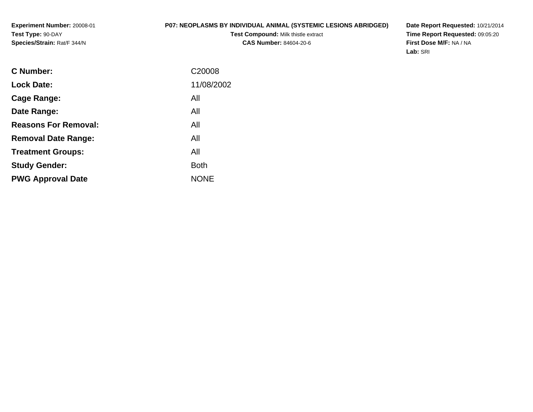### **P07: NEOPLASMS BY INDIVIDUAL ANIMAL (SYSTEMIC LESIONS ABRIDGED)**

**Test Compound:** Milk thistle extract**CAS Number:** 84604-20-6

**Date Report Requested:** 10/21/2014 **Time Report Requested:** 09:05:20**First Dose M/F:** NA / NA**Lab:** SRI

| C Number:                   | C <sub>20008</sub> |
|-----------------------------|--------------------|
| <b>Lock Date:</b>           | 11/08/2002         |
| Cage Range:                 | All                |
| Date Range:                 | All                |
| <b>Reasons For Removal:</b> | All                |
| <b>Removal Date Range:</b>  | All                |
| <b>Treatment Groups:</b>    | All                |
| <b>Study Gender:</b>        | Both               |
| <b>PWG Approval Date</b>    | <b>NONE</b>        |
|                             |                    |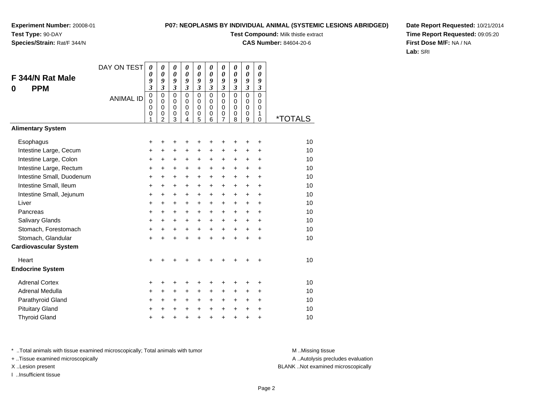### **P07: NEOPLASMS BY INDIVIDUAL ANIMAL (SYSTEMIC LESIONS ABRIDGED)**

**Test Compound:** Milk thistle extract

**CAS Number:** 84604-20-6

**Date Report Requested:** 10/21/2014**Time Report Requested:** 09:05:20**First Dose M/F:** NA / NA**Lab:** SRI

| F 344/N Rat Male             | DAY ON TEST      | $\boldsymbol{\theta}$<br>0<br>9<br>$\mathfrak{z}$   | $\boldsymbol{\theta}$<br>$\boldsymbol{\theta}$<br>9<br>$\mathfrak{z}$      | 0<br>$\boldsymbol{\theta}$<br>9<br>$\mathfrak{z}$           | 0<br>0<br>9<br>$\mathfrak{z}$                    | 0<br>0<br>9<br>$\boldsymbol{\mathfrak{z}}$                    | 0<br>0<br>9<br>$\mathfrak{z}$                    | $\boldsymbol{\theta}$<br>0<br>9<br>$\overline{\mathbf{3}}$         | 0<br>0<br>9<br>$\overline{\mathbf{3}}$              | 0<br>$\boldsymbol{\theta}$<br>9<br>$\overline{\mathbf{3}}$ | 0<br>0<br>9<br>$\boldsymbol{\beta}$                 |                       |
|------------------------------|------------------|-----------------------------------------------------|----------------------------------------------------------------------------|-------------------------------------------------------------|--------------------------------------------------|---------------------------------------------------------------|--------------------------------------------------|--------------------------------------------------------------------|-----------------------------------------------------|------------------------------------------------------------|-----------------------------------------------------|-----------------------|
| <b>PPM</b><br>0              | <b>ANIMAL ID</b> | $\mathbf 0$<br>$\mathbf 0$<br>$\mathbf 0$<br>0<br>1 | $\mathbf 0$<br>$\mathbf 0$<br>$\mathbf 0$<br>$\mathbf 0$<br>$\overline{2}$ | $\mathbf 0$<br>$\mathbf 0$<br>$\mathbf 0$<br>$\pmb{0}$<br>3 | $\mathbf 0$<br>$\Omega$<br>$\mathbf 0$<br>0<br>4 | $\mathbf 0$<br>$\mathbf 0$<br>$\mathbf 0$<br>$\mathbf 0$<br>5 | $\mathbf 0$<br>$\Omega$<br>$\mathbf 0$<br>0<br>6 | $\mathbf 0$<br>$\mathbf 0$<br>$\mathbf 0$<br>$\boldsymbol{0}$<br>7 | $\mathbf 0$<br>$\mathbf 0$<br>$\mathbf 0$<br>0<br>8 | $\overline{0}$<br>$\mathbf 0$<br>0<br>0<br>9               | $\overline{0}$<br>$\Omega$<br>$\mathbf 0$<br>1<br>0 | <i><b>*TOTALS</b></i> |
| <b>Alimentary System</b>     |                  |                                                     |                                                                            |                                                             |                                                  |                                                               |                                                  |                                                                    |                                                     |                                                            |                                                     |                       |
| Esophagus                    |                  | +                                                   |                                                                            | ٠                                                           | +                                                | +                                                             | +                                                | +                                                                  |                                                     | +                                                          | +                                                   | 10                    |
| Intestine Large, Cecum       |                  | +                                                   | +                                                                          | $\ddot{}$                                                   | $\ddot{}$                                        | $\ddot{}$                                                     | $\ddot{}$                                        | +                                                                  | +                                                   | +                                                          | $\ddot{}$                                           | 10                    |
| Intestine Large, Colon       |                  | $\ddot{}$                                           | $\ddot{}$                                                                  | +                                                           | $\ddot{}$                                        | $\ddot{}$                                                     | $\ddot{}$                                        | $\ddot{}$                                                          | $\pm$                                               | $\ddot{}$                                                  | $\ddot{}$                                           | 10                    |
| Intestine Large, Rectum      |                  | $\ddot{}$                                           | $\ddot{}$                                                                  | $\ddot{}$                                                   | $\ddot{}$                                        | $\ddot{}$                                                     | $\ddot{}$                                        | $\ddot{}$                                                          | $\ddot{}$                                           | $+$                                                        | $\ddot{}$                                           | 10                    |
| Intestine Small, Duodenum    |                  | $\ddot{}$                                           | $\ddot{}$                                                                  | $\ddot{}$                                                   | $\ddot{}$                                        | $\ddot{}$                                                     | $\ddot{}$                                        | $\ddot{}$                                                          | $\ddot{}$                                           | $+$                                                        | $\ddot{}$                                           | 10                    |
| Intestine Small, Ileum       |                  | +                                                   | +                                                                          | $\ddot{}$                                                   | +                                                | +                                                             | $\ddot{}$                                        | +                                                                  | $\pm$                                               | $\ddot{}$                                                  | $\ddot{}$                                           | 10                    |
| Intestine Small, Jejunum     |                  | $\ddot{}$                                           | $\ddot{}$                                                                  | $\ddot{}$                                                   | $\ddot{}$                                        | +                                                             | $\ddot{}$                                        | +                                                                  | $\ddot{}$                                           | $\ddot{}$                                                  | $\ddot{}$                                           | 10                    |
| Liver                        |                  | $\ddot{}$                                           | $\ddot{}$                                                                  | $\ddot{}$                                                   | $\ddot{}$                                        | $\ddot{}$                                                     | $\ddot{}$                                        | $\ddot{}$                                                          | $\ddot{}$                                           | $+$                                                        | $\ddot{}$                                           | 10                    |
| Pancreas                     |                  | $\ddot{}$                                           | $\ddot{}$                                                                  | $\ddot{}$                                                   | $\ddot{}$                                        | $\ddot{}$                                                     | $\ddot{}$                                        | +                                                                  | $\ddot{}$                                           | $\ddot{}$                                                  | $\ddot{}$                                           | 10                    |
| Salivary Glands              |                  | $\pmb{+}$                                           | $\ddot{}$                                                                  | $\ddot{}$                                                   | $\ddot{}$                                        | +                                                             | $\ddot{}$                                        | +                                                                  | $\ddot{}$                                           | $\ddot{}$                                                  | $\ddot{}$                                           | 10                    |
| Stomach, Forestomach         |                  | $\ddot{}$                                           | $\ddot{}$                                                                  | $\ddot{}$                                                   | $\ddot{}$                                        | +                                                             | $\ddot{}$                                        | $\ddot{}$                                                          | $\ddot{}$                                           | $+$                                                        | $\ddot{}$                                           | 10                    |
| Stomach, Glandular           |                  | $\ddot{}$                                           | $\ddot{}$                                                                  | $\ddot{}$                                                   | $\ddot{}$                                        | $\ddot{}$                                                     | $\ddot{}$                                        | $\ddot{}$                                                          | $\ddot{}$                                           | $\ddot{}$                                                  | $\ddot{}$                                           | 10                    |
| <b>Cardiovascular System</b> |                  |                                                     |                                                                            |                                                             |                                                  |                                                               |                                                  |                                                                    |                                                     |                                                            |                                                     |                       |
| Heart                        |                  | $\ddot{}$                                           |                                                                            |                                                             |                                                  |                                                               |                                                  |                                                                    |                                                     |                                                            | ٠                                                   | 10                    |
| <b>Endocrine System</b>      |                  |                                                     |                                                                            |                                                             |                                                  |                                                               |                                                  |                                                                    |                                                     |                                                            |                                                     |                       |
| <b>Adrenal Cortex</b>        |                  | +                                                   | +                                                                          | +                                                           | +                                                | +                                                             | +                                                | +                                                                  | +                                                   | ٠                                                          | ÷                                                   | 10                    |
| Adrenal Medulla              |                  | $\ddot{}$                                           | +                                                                          | +                                                           | +                                                | +                                                             | $\ddot{}$                                        | $\pm$                                                              | $\pm$                                               | $\pm$                                                      | $\ddot{}$                                           | 10                    |
| Parathyroid Gland            |                  | +                                                   | $\ddot{}$                                                                  | $\ddot{}$                                                   | $\ddot{}$                                        | $\ddot{}$                                                     | $\ddot{}$                                        | $\ddot{}$                                                          | $\pm$                                               | $\ddot{}$                                                  | $\ddot{}$                                           | 10                    |
| <b>Pituitary Gland</b>       |                  | +                                                   |                                                                            | $\pm$                                                       | +                                                | +                                                             | $\ddot{}$                                        | $\ddot{}$                                                          | $\ddot{}$                                           | $\ddot{}$                                                  | $\ddot{}$                                           | 10                    |
| <b>Thyroid Gland</b>         |                  | $\pmb{+}$                                           |                                                                            | +                                                           | $\ddot{}$                                        | $\ddot{}$                                                     | $\ddot{}$                                        | $\ddot{}$                                                          | $\ddot{}$                                           | $\ddot{}$                                                  | $\ddot{}$                                           | 10                    |

\* ..Total animals with tissue examined microscopically; Total animals with tumor **M** . Missing tissue M ..Missing tissue

+ ..Tissue examined microscopically

I ..Insufficient tissue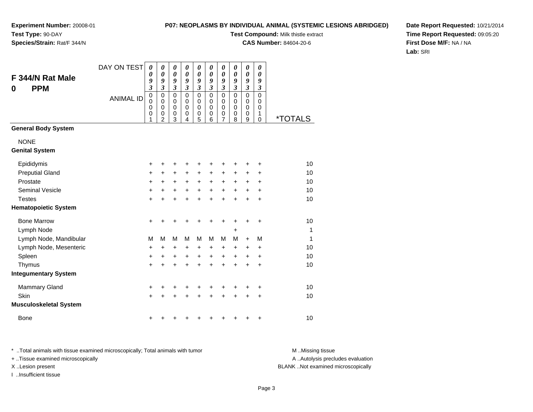### **P07: NEOPLASMS BY INDIVIDUAL ANIMAL (SYSTEMIC LESIONS ABRIDGED)**

**Test Compound:** Milk thistle extract

**CAS Number:** 84604-20-6

**Date Report Requested:** 10/21/2014**Time Report Requested:** 09:05:20**First Dose M/F:** NA / NA**Lab:** SRI

| F 344/N Rat Male<br><b>PPM</b><br>0  | DAY ON TEST      | 0<br>0<br>9<br>$\overline{\mathbf{3}}$  | 0<br>$\boldsymbol{\theta}$<br>9<br>$\overline{\mathbf{3}}$ | 0<br>0<br>9<br>$\mathfrak{z}$             | 0<br>0<br>9<br>$\overline{\mathbf{3}}$    | 0<br>$\boldsymbol{\theta}$<br>9<br>$\mathfrak{z}$   | 0<br>$\boldsymbol{\theta}$<br>9<br>$\boldsymbol{\mathfrak{z}}$ | $\boldsymbol{\theta}$<br>$\boldsymbol{\theta}$<br>9<br>$\mathfrak{z}$ | 0<br>$\boldsymbol{\theta}$<br>9<br>$\mathfrak{z}$ | $\pmb{\theta}$<br>$\boldsymbol{\theta}$<br>9<br>$\mathfrak{z}$ | 0<br>0<br>9<br>$\boldsymbol{\mathfrak{z}}$   |              |
|--------------------------------------|------------------|-----------------------------------------|------------------------------------------------------------|-------------------------------------------|-------------------------------------------|-----------------------------------------------------|----------------------------------------------------------------|-----------------------------------------------------------------------|---------------------------------------------------|----------------------------------------------------------------|----------------------------------------------|--------------|
|                                      | <b>ANIMAL ID</b> | $\pmb{0}$<br>$\mathbf 0$<br>0<br>0<br>1 | 0<br>$\mathbf 0$<br>$\mathbf 0$<br>0<br>$\overline{2}$     | $\mathbf 0$<br>$\mathbf 0$<br>0<br>0<br>3 | 0<br>$\mathbf 0$<br>$\mathbf 0$<br>0<br>4 | $\mathbf 0$<br>$\mathbf 0$<br>$\mathbf 0$<br>0<br>5 | $\mathbf 0$<br>$\mathbf 0$<br>0<br>0<br>6                      | $\mathbf 0$<br>$\mathbf 0$<br>$\mathbf 0$<br>0<br>7                   | $\mathbf{0}$<br>0<br>0<br>0<br>8                  | $\mathbf 0$<br>$\mathbf 0$<br>$\pmb{0}$<br>$\,0\,$<br>9        | $\overline{0}$<br>0<br>0<br>1<br>$\mathbf 0$ | *TOTALS      |
| <b>General Body System</b>           |                  |                                         |                                                            |                                           |                                           |                                                     |                                                                |                                                                       |                                                   |                                                                |                                              |              |
| <b>NONE</b><br><b>Genital System</b> |                  |                                         |                                                            |                                           |                                           |                                                     |                                                                |                                                                       |                                                   |                                                                |                                              |              |
| Epididymis                           |                  | +                                       | +                                                          | +                                         | +                                         | +                                                   | +                                                              | +                                                                     |                                                   | +                                                              | +                                            | 10           |
| <b>Preputial Gland</b>               |                  | +                                       | +                                                          | +                                         | +                                         | +                                                   | +                                                              | $\ddot{}$                                                             | +                                                 | +                                                              | +                                            | 10           |
| Prostate                             |                  | +                                       | $\ddot{}$                                                  | +                                         | $\ddot{}$                                 | $\ddot{}$                                           | $\ddot{}$                                                      | $\ddot{}$                                                             | +                                                 | $\ddot{}$                                                      | $\ddot{}$                                    | 10           |
| <b>Seminal Vesicle</b>               |                  | +                                       | $\ddot{}$                                                  | +                                         | +                                         | +                                                   | $\ddot{}$                                                      | $\ddot{}$                                                             | $\ddot{}$                                         | $\ddot{}$                                                      | +                                            | 10           |
| <b>Testes</b>                        |                  | $\ddot{}$                               | +                                                          | $\ddot{}$                                 | +                                         | +                                                   | +                                                              | $\ddot{}$                                                             |                                                   | $\ddot{}$                                                      | $\ddot{}$                                    | 10           |
| <b>Hematopoietic System</b>          |                  |                                         |                                                            |                                           |                                           |                                                     |                                                                |                                                                       |                                                   |                                                                |                                              |              |
| <b>Bone Marrow</b>                   |                  | $\ddot{}$                               | +                                                          | +                                         | +                                         | +                                                   | +                                                              | +                                                                     | ٠                                                 | +                                                              | +                                            | 10           |
| Lymph Node                           |                  |                                         |                                                            |                                           |                                           |                                                     |                                                                |                                                                       | +                                                 |                                                                |                                              | $\mathbf{1}$ |
| Lymph Node, Mandibular               |                  | M                                       | M                                                          | M                                         | м                                         | M                                                   | M                                                              | M                                                                     | м                                                 | $+$                                                            | M                                            | $\mathbf{1}$ |
| Lymph Node, Mesenteric               |                  | +                                       | +                                                          | +                                         | +                                         | +                                                   | +                                                              | +                                                                     | +                                                 | +                                                              | +                                            | 10           |
| Spleen                               |                  | +                                       | +                                                          | $\ddot{}$                                 | +                                         | $\ddot{}$                                           | +                                                              | $\ddot{}$                                                             | +                                                 | +                                                              | +                                            | 10           |
| Thymus                               |                  | $\ddot{}$                               | $\ddot{}$                                                  | $\ddot{}$                                 | $\ddot{}$                                 | $\ddot{}$                                           | $\ddot{}$                                                      | $\ddot{}$                                                             |                                                   | $\ddot{}$                                                      | $\ddot{}$                                    | 10           |
| <b>Integumentary System</b>          |                  |                                         |                                                            |                                           |                                           |                                                     |                                                                |                                                                       |                                                   |                                                                |                                              |              |
| <b>Mammary Gland</b>                 |                  | +                                       | +                                                          | +                                         | +                                         | +                                                   | +                                                              | +                                                                     | +                                                 | +                                                              | +                                            | 10           |
| Skin                                 |                  | $\ddot{}$                               |                                                            | $\ddot{}$                                 | +                                         | $\ddot{}$                                           |                                                                |                                                                       |                                                   | +                                                              | $\ddot{}$                                    | 10           |
| <b>Musculoskeletal System</b>        |                  |                                         |                                                            |                                           |                                           |                                                     |                                                                |                                                                       |                                                   |                                                                |                                              |              |
| <b>Bone</b>                          |                  | +                                       |                                                            |                                           |                                           |                                                     |                                                                |                                                                       |                                                   |                                                                | +                                            | 10           |

\* ..Total animals with tissue examined microscopically; Total animals with tumor **M** . Missing tissue M ..Missing tissue

+ ..Tissue examined microscopically

I ..Insufficient tissue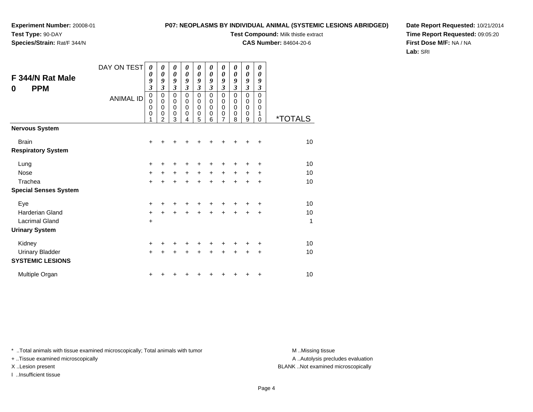### **P07: NEOPLASMS BY INDIVIDUAL ANIMAL (SYSTEMIC LESIONS ABRIDGED)**

**Test Compound:** Milk thistle extract

**CAS Number:** 84604-20-6

**Date Report Requested:** 10/21/2014**Time Report Requested:** 09:05:20**First Dose M/F:** NA / NA**Lab:** SRI

| F 344/N Rat Male<br><b>PPM</b><br>0        | DAY ON TEST<br><b>ANIMAL ID</b> | 0<br>0<br>9<br>$\mathfrak{z}$<br>$\mathbf 0$<br>0 | 0<br>$\boldsymbol{\theta}$<br>9<br>3<br>0<br>0 | 0<br>$\boldsymbol{\theta}$<br>9<br>3<br>0<br>0 | 0<br>0<br>9<br>3<br>0<br>0 | 0<br>0<br>9<br>3<br>$\pmb{0}$<br>0 | 0<br>$\boldsymbol{\theta}$<br>9<br>3<br>$\mathbf 0$<br>0 | 0<br>$\boldsymbol{\theta}$<br>9<br>$\mathfrak{z}$<br>0<br>0 | 0<br>$\boldsymbol{\theta}$<br>9<br>$\mathfrak{z}$<br>$\mathbf 0$<br>0 | 0<br>0<br>9<br>$\mathfrak{z}$<br>$\mathbf 0$<br>0 | 0<br>0<br>9<br>3<br>$\mathbf 0$<br>0 |                       |
|--------------------------------------------|---------------------------------|---------------------------------------------------|------------------------------------------------|------------------------------------------------|----------------------------|------------------------------------|----------------------------------------------------------|-------------------------------------------------------------|-----------------------------------------------------------------------|---------------------------------------------------|--------------------------------------|-----------------------|
|                                            |                                 | 0<br>0<br>1                                       | $\mathbf 0$<br>0<br>$\overline{2}$             | 0<br>0<br>3                                    | 0<br>0<br>4                | 0<br>0<br>5                        | $\mathbf 0$<br>0<br>6                                    | $\mathbf 0$<br>$\mathbf 0$<br>7                             | $\mathbf 0$<br>0<br>8                                                 | $\mathbf 0$<br>$\mathbf 0$<br>9                   | $\mathbf 0$<br>1<br>0                | <i><b>*TOTALS</b></i> |
| <b>Nervous System</b>                      |                                 |                                                   |                                                |                                                |                            |                                    |                                                          |                                                             |                                                                       |                                                   |                                      |                       |
| <b>Brain</b><br><b>Respiratory System</b>  |                                 | +                                                 |                                                |                                                |                            |                                    |                                                          |                                                             |                                                                       |                                                   | +                                    | 10                    |
| Lung                                       |                                 | +                                                 |                                                | +                                              | +                          | +                                  |                                                          |                                                             |                                                                       |                                                   | $\ddot{}$                            | 10                    |
| <b>Nose</b>                                |                                 | $\ddot{}$                                         | +                                              | $\ddot{}$                                      | +                          | $\ddot{}$                          | $\ddot{}$                                                | $\ddot{}$                                                   | $\ddot{}$                                                             | $\ddot{}$                                         | ÷                                    | 10                    |
| Trachea<br><b>Special Senses System</b>    |                                 | $\ddot{}$                                         | +                                              | $\ddot{}$                                      | $\ddot{}$                  | $\ddot{}$                          | $\ddot{}$                                                | $\ddot{}$                                                   | $\ddot{}$                                                             | $\ddot{}$                                         | $\ddot{}$                            | 10                    |
| Eye                                        |                                 | $\ddot{}$                                         |                                                |                                                |                            |                                    |                                                          |                                                             |                                                                       |                                                   | +                                    | 10                    |
| Harderian Gland<br><b>Lacrimal Gland</b>   |                                 | $\ddot{}$<br>+                                    | +                                              | +                                              |                            |                                    |                                                          | +                                                           |                                                                       | $\div$                                            | $\ddot{}$                            | 10<br>1               |
| <b>Urinary System</b>                      |                                 |                                                   |                                                |                                                |                            |                                    |                                                          |                                                             |                                                                       |                                                   |                                      |                       |
| Kidney                                     |                                 | +                                                 |                                                |                                                |                            | ٠                                  |                                                          |                                                             |                                                                       |                                                   | +                                    | 10                    |
| Urinary Bladder<br><b>SYSTEMIC LESIONS</b> |                                 | $+$                                               | +                                              | +                                              | +                          | $\pm$                              | $\ddot{}$                                                | $\ddot{}$                                                   | $\pm$                                                                 | ٠                                                 | ÷                                    | 10                    |
| Multiple Organ                             |                                 | +                                                 |                                                |                                                |                            |                                    |                                                          |                                                             |                                                                       |                                                   | +                                    | 10                    |

\* ..Total animals with tissue examined microscopically; Total animals with tumor **M** . Missing tissue M ..Missing tissue

+ ..Tissue examined microscopically

I ..Insufficient tissue

A ..Autolysis precludes evaluation

X ..Lesion present BLANK ..Not examined microscopically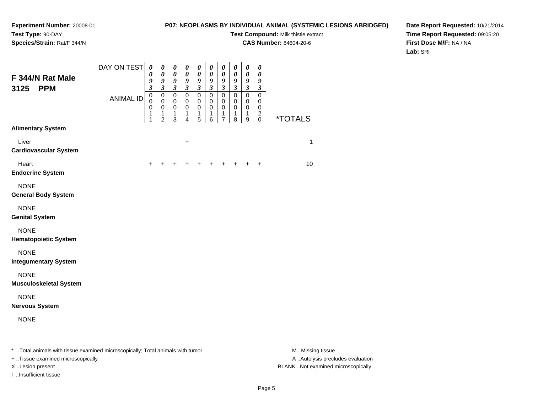### **P07: NEOPLASMS BY INDIVIDUAL ANIMAL (SYSTEMIC LESIONS ABRIDGED)**

**Test Compound:** Milk thistle extract

**CAS Number:** 84604-20-6

**Date Report Requested:** 10/21/2014**Time Report Requested:** 09:05:20**First Dose M/F:** NA / NA**Lab:** SRI

| F 344/N Rat Male<br>3125<br><b>PPM</b>                                                                              | DAY ON TEST      | $\boldsymbol{\theta}$<br>0<br>9<br>$\mathfrak{z}$ | 0<br>$\boldsymbol{\theta}$<br>9<br>$\mathfrak{z}$      | $\boldsymbol{\theta}$<br>$\pmb{\theta}$<br>9<br>$\boldsymbol{\beta}$ | 0<br>$\pmb{\theta}$<br>$\boldsymbol{9}$<br>$\mathfrak{z}$ | 0<br>$\pmb{\theta}$<br>9<br>$\boldsymbol{\beta}$ | 0<br>$\boldsymbol{\theta}$<br>9<br>$\boldsymbol{\beta}$ | $\boldsymbol{\theta}$<br>$\boldsymbol{\theta}$<br>$\pmb{9}$<br>$\mathfrak{z}$ | 0<br>$\pmb{\theta}$<br>9<br>$\boldsymbol{\beta}$ | $\pmb{\theta}$<br>$\pmb{\theta}$<br>9<br>$\mathfrak{z}$ | 0<br>$\boldsymbol{\theta}$<br>9<br>$\boldsymbol{\beta}$ |                                      |
|---------------------------------------------------------------------------------------------------------------------|------------------|---------------------------------------------------|--------------------------------------------------------|----------------------------------------------------------------------|-----------------------------------------------------------|--------------------------------------------------|---------------------------------------------------------|-------------------------------------------------------------------------------|--------------------------------------------------|---------------------------------------------------------|---------------------------------------------------------|--------------------------------------|
|                                                                                                                     | <b>ANIMAL ID</b> | $\mathbf 0$<br>$\Omega$<br>0<br>1<br>1            | $\mathbf 0$<br>$\mathbf 0$<br>0<br>1<br>$\overline{c}$ | $\mathbf 0$<br>$\mathbf 0$<br>0<br>1<br>$\mathbf{3}$                 | $\mathbf 0$<br>$\mathbf 0$<br>0<br>1<br>4                 | $\mathbf 0$<br>$\mathbf 0$<br>0<br>1<br>5        | $\mathbf 0$<br>$\mathbf 0$<br>0<br>1<br>6               | $\mathbf 0$<br>$\mathbf 0$<br>0<br>1<br>7                                     | $\mathbf 0$<br>$\mathbf 0$<br>0<br>1<br>8        | $\mathbf 0$<br>$\mathbf 0$<br>0<br>1<br>9               | $\mathbf 0$<br>0<br>0<br>$\overline{c}$<br>0            | <i><b>*TOTALS</b></i>                |
| <b>Alimentary System</b>                                                                                            |                  |                                                   |                                                        |                                                                      |                                                           |                                                  |                                                         |                                                                               |                                                  |                                                         |                                                         |                                      |
| Liver<br><b>Cardiovascular System</b>                                                                               |                  |                                                   |                                                        |                                                                      | +                                                         |                                                  |                                                         |                                                                               |                                                  |                                                         |                                                         | 1                                    |
| Heart<br><b>Endocrine System</b>                                                                                    |                  |                                                   |                                                        |                                                                      |                                                           |                                                  |                                                         | +                                                                             | ٠                                                | +                                                       | +                                                       | 10                                   |
| <b>NONE</b><br><b>General Body System</b>                                                                           |                  |                                                   |                                                        |                                                                      |                                                           |                                                  |                                                         |                                                                               |                                                  |                                                         |                                                         |                                      |
| <b>NONE</b><br><b>Genital System</b>                                                                                |                  |                                                   |                                                        |                                                                      |                                                           |                                                  |                                                         |                                                                               |                                                  |                                                         |                                                         |                                      |
| <b>NONE</b><br><b>Hematopoietic System</b>                                                                          |                  |                                                   |                                                        |                                                                      |                                                           |                                                  |                                                         |                                                                               |                                                  |                                                         |                                                         |                                      |
| <b>NONE</b><br><b>Integumentary System</b>                                                                          |                  |                                                   |                                                        |                                                                      |                                                           |                                                  |                                                         |                                                                               |                                                  |                                                         |                                                         |                                      |
| <b>NONE</b><br><b>Musculoskeletal System</b>                                                                        |                  |                                                   |                                                        |                                                                      |                                                           |                                                  |                                                         |                                                                               |                                                  |                                                         |                                                         |                                      |
| <b>NONE</b><br><b>Nervous System</b>                                                                                |                  |                                                   |                                                        |                                                                      |                                                           |                                                  |                                                         |                                                                               |                                                  |                                                         |                                                         |                                      |
| <b>NONE</b>                                                                                                         |                  |                                                   |                                                        |                                                                      |                                                           |                                                  |                                                         |                                                                               |                                                  |                                                         |                                                         |                                      |
| * Total animals with tissue examined microscopically; Total animals with tumor<br>+ Tissue examined microscopically |                  |                                                   |                                                        |                                                                      |                                                           |                                                  |                                                         |                                                                               |                                                  |                                                         |                                                         | M Missing tissue<br>A Autolysis prec |

I ..Insufficient tissue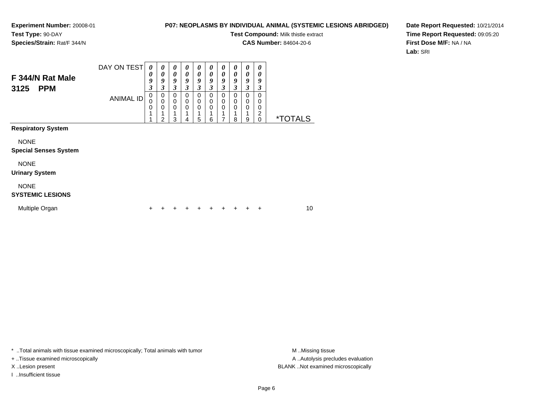### **P07: NEOPLASMS BY INDIVIDUAL ANIMAL (SYSTEMIC LESIONS ABRIDGED)**

**Test Compound:** Milk thistle extract

**CAS Number:** 84604-20-6

 $\overline{\phantom{0}}$ 

**Date Report Requested:** 10/21/2014**Time Report Requested:** 09:05:20**First Dose M/F:** NA / NA**Lab:** SRI

| F 344/N Rat Male<br>3125<br><b>PPM</b>      | DAY ON TEST<br><b>ANIMAL ID</b> | 0<br>0<br>9<br>3<br>0<br>0<br>0 | 0<br>0<br>9<br>3<br>0<br>0<br>0 | 0<br>0<br>9<br>$\boldsymbol{\beta}$<br>0<br>0<br>$\Omega$ | 0<br>$\boldsymbol{\theta}$<br>9<br>3<br>0<br>0<br>$\mathbf 0$ | $\boldsymbol{\theta}$<br>$\boldsymbol{\theta}$<br>9<br>3<br>$\mathbf 0$<br>0<br>0 | 0<br>0<br>9<br>3<br>0<br>0<br>0 | 0<br>$\boldsymbol{\theta}$<br>9<br>3<br>0<br>0<br>$\mathbf 0$ | 0<br>0<br>9<br>$\boldsymbol{\beta}$<br>0<br>0<br>0 | 0<br>0<br>9<br>3<br>0<br>0<br>0 | 0<br>0<br>9<br>3<br>0<br>0<br>0 |                       |  |
|---------------------------------------------|---------------------------------|---------------------------------|---------------------------------|-----------------------------------------------------------|---------------------------------------------------------------|-----------------------------------------------------------------------------------|---------------------------------|---------------------------------------------------------------|----------------------------------------------------|---------------------------------|---------------------------------|-----------------------|--|
|                                             |                                 | 1                               | 2                               | 3                                                         | 4                                                             | 5                                                                                 | 6                               | 7                                                             | 8                                                  | 9                               | 2<br>$\Omega$                   | <i><b>*TOTALS</b></i> |  |
| <b>Respiratory System</b>                   |                                 |                                 |                                 |                                                           |                                                               |                                                                                   |                                 |                                                               |                                                    |                                 |                                 |                       |  |
| <b>NONE</b><br><b>Special Senses System</b> |                                 |                                 |                                 |                                                           |                                                               |                                                                                   |                                 |                                                               |                                                    |                                 |                                 |                       |  |
| <b>NONE</b><br><b>Urinary System</b>        |                                 |                                 |                                 |                                                           |                                                               |                                                                                   |                                 |                                                               |                                                    |                                 |                                 |                       |  |
| <b>NONE</b><br><b>SYSTEMIC LESIONS</b>      |                                 |                                 |                                 |                                                           |                                                               |                                                                                   |                                 |                                                               |                                                    |                                 |                                 |                       |  |
| Multiple Organ                              |                                 |                                 |                                 |                                                           |                                                               |                                                                                   |                                 |                                                               |                                                    |                                 | +                               | 10                    |  |

\* ..Total animals with tissue examined microscopically; Total animals with tumor **M** . Missing tissue M ..Missing tissue

+ ..Tissue examined microscopically

I ..Insufficient tissue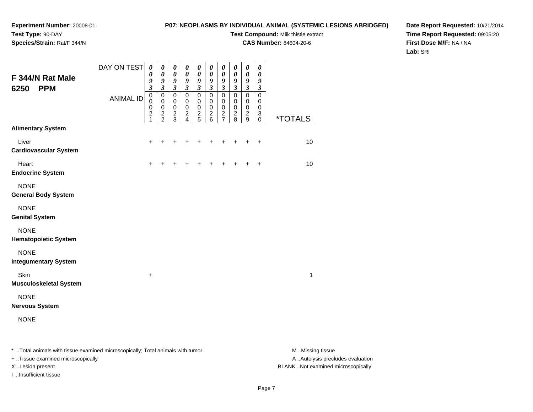### **P07: NEOPLASMS BY INDIVIDUAL ANIMAL (SYSTEMIC LESIONS ABRIDGED)**

**Test Compound:** Milk thistle extract

**CAS Number:** 84604-20-6

**Date Report Requested:** 10/21/2014**Time Report Requested:** 09:05:20**First Dose M/F:** NA / NA**Lab:** SRI

| F 344/N Rat Male<br><b>PPM</b><br>6250     | DAY ON TEST      | $\boldsymbol{\theta}$<br>$\boldsymbol{\theta}$<br>9<br>$\mathfrak{z}$ | 0<br>$\boldsymbol{\theta}$<br>9<br>$\mathfrak{z}$          | 0<br>$\boldsymbol{\theta}$<br>9<br>$\mathfrak{z}$    | 0<br>$\pmb{\theta}$<br>$\boldsymbol{9}$<br>$\mathfrak{z}$  | $\boldsymbol{\theta}$<br>$\pmb{\theta}$<br>$\boldsymbol{9}$<br>$\mathfrak{z}$ | 0<br>$\pmb{\theta}$<br>9<br>$\boldsymbol{\beta}$ | 0<br>$\pmb{\theta}$<br>$\boldsymbol{g}$<br>$\mathfrak{z}$ | 0<br>$\pmb{\theta}$<br>9<br>$\mathfrak{z}$ | $\boldsymbol{\theta}$<br>$\pmb{\theta}$<br>9<br>$\mathfrak{z}$ | 0<br>$\boldsymbol{\theta}$<br>9<br>$\mathfrak{z}$ |                       |
|--------------------------------------------|------------------|-----------------------------------------------------------------------|------------------------------------------------------------|------------------------------------------------------|------------------------------------------------------------|-------------------------------------------------------------------------------|--------------------------------------------------|-----------------------------------------------------------|--------------------------------------------|----------------------------------------------------------------|---------------------------------------------------|-----------------------|
|                                            | <b>ANIMAL ID</b> | $\mathbf 0$<br>$\mathbf 0$<br>0<br>$\boldsymbol{2}$<br>1              | $\mathbf 0$<br>$\mathbf 0$<br>$\mathbf 0$<br>$\frac{2}{2}$ | $\pmb{0}$<br>$\pmb{0}$<br>$\pmb{0}$<br>$\frac{2}{3}$ | $\mathsf 0$<br>$\mathbf 0$<br>$\mathbf 0$<br>$\frac{2}{4}$ | $\pmb{0}$<br>$\mathbf 0$<br>$\mathbf 0$<br>$\frac{2}{5}$                      | $\pmb{0}$<br>$\pmb{0}$<br>$\pmb{0}$<br>$^2$ 6    | $\pmb{0}$<br>$\pmb{0}$<br>$\pmb{0}$<br>$\frac{2}{7}$      | $\pmb{0}$<br>0<br>0<br>$\frac{2}{8}$       | $\pmb{0}$<br>$\mathbf 0$<br>$\mathbf 0$<br>$\frac{2}{9}$       | $\mathbf 0$<br>0<br>0<br>3<br>$\Omega$            | <i><b>*TOTALS</b></i> |
| <b>Alimentary System</b>                   |                  |                                                                       |                                                            |                                                      |                                                            |                                                                               |                                                  |                                                           |                                            |                                                                |                                                   |                       |
| Liver<br><b>Cardiovascular System</b>      |                  | ٠                                                                     |                                                            | ٠                                                    | +                                                          | ٠                                                                             |                                                  | ٠                                                         | +                                          | +                                                              | $\ddot{}$                                         | 10                    |
| Heart<br><b>Endocrine System</b>           |                  | $\ddot{}$                                                             |                                                            |                                                      | +                                                          | +                                                                             | +                                                | +                                                         | +                                          | $\ddot{}$                                                      | $\ddot{}$                                         | 10                    |
| <b>NONE</b><br><b>General Body System</b>  |                  |                                                                       |                                                            |                                                      |                                                            |                                                                               |                                                  |                                                           |                                            |                                                                |                                                   |                       |
| <b>NONE</b><br><b>Genital System</b>       |                  |                                                                       |                                                            |                                                      |                                                            |                                                                               |                                                  |                                                           |                                            |                                                                |                                                   |                       |
| <b>NONE</b><br><b>Hematopoietic System</b> |                  |                                                                       |                                                            |                                                      |                                                            |                                                                               |                                                  |                                                           |                                            |                                                                |                                                   |                       |
| <b>NONE</b><br><b>Integumentary System</b> |                  |                                                                       |                                                            |                                                      |                                                            |                                                                               |                                                  |                                                           |                                            |                                                                |                                                   |                       |
| Skin<br><b>Musculoskeletal System</b>      |                  | $\ddot{}$                                                             |                                                            |                                                      |                                                            |                                                                               |                                                  |                                                           |                                            |                                                                |                                                   | $\mathbf{1}$          |
| <b>NONE</b><br><b>Nervous System</b>       |                  |                                                                       |                                                            |                                                      |                                                            |                                                                               |                                                  |                                                           |                                            |                                                                |                                                   |                       |
| <b>NONE</b>                                |                  |                                                                       |                                                            |                                                      |                                                            |                                                                               |                                                  |                                                           |                                            |                                                                |                                                   |                       |
|                                            |                  |                                                                       |                                                            |                                                      |                                                            |                                                                               |                                                  |                                                           |                                            |                                                                |                                                   |                       |

\* ..Total animals with tissue examined microscopically; Total animals with tumor **M** . Missing tissue M ..Missing tissue

+ ..Tissue examined microscopically

I ..Insufficient tissue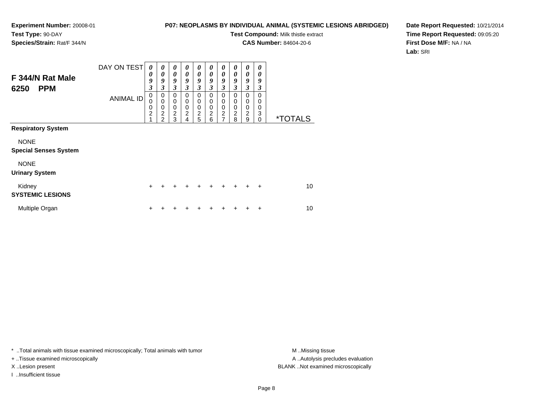### **P07: NEOPLASMS BY INDIVIDUAL ANIMAL (SYSTEMIC LESIONS ABRIDGED)**

**Test Compound:** Milk thistle extract

**CAS Number:** 84604-20-6

**Date Report Requested:** 10/21/2014**Time Report Requested:** 09:05:20**First Dose M/F:** NA / NA**Lab:** SRI

| F 344/N Rat Male<br><b>PPM</b><br>6250      | DAY ON TEST      | $\boldsymbol{\theta}$<br>0<br>9<br>3 | 0<br>$\boldsymbol{\theta}$<br>9<br>3                                         | $\boldsymbol{\theta}$<br>$\boldsymbol{\theta}$<br>9<br>$\mathfrak{z}$ | $\boldsymbol{\theta}$<br>$\boldsymbol{\theta}$<br>9<br>3 | 0<br>$\boldsymbol{\theta}$<br>9<br>$\mathfrak{z}$ | 0<br>0<br>9<br>3                             | $\boldsymbol{\theta}$<br>0<br>9<br>$\overline{\mathbf{3}}$ | 0<br>0<br>9<br>3      | $\boldsymbol{\theta}$<br>0<br>9<br>3 | 0<br>0<br>9<br>3                    |                       |
|---------------------------------------------|------------------|--------------------------------------|------------------------------------------------------------------------------|-----------------------------------------------------------------------|----------------------------------------------------------|---------------------------------------------------|----------------------------------------------|------------------------------------------------------------|-----------------------|--------------------------------------|-------------------------------------|-----------------------|
|                                             | <b>ANIMAL ID</b> | 0<br>0<br>0<br>$\overline{c}$<br>4   | 0<br>$\mathbf 0$<br>$\mathbf 0$<br>$\overline{\mathbf{c}}$<br>$\mathfrak{p}$ | 0<br>$\mathbf 0$<br>$\mathbf 0$<br>$\overline{c}$<br>3                | 0<br>$\mathbf 0$<br>$\mathbf 0$<br>$\overline{c}$<br>4   | 0<br>0<br>$\mathbf 0$<br>$\overline{c}$<br>5      | 0<br>0<br>$\mathbf 0$<br>$\overline{c}$<br>6 | 0<br>0<br>0<br>$\overline{c}$<br>$\overline{7}$            | 0<br>0<br>0<br>2<br>8 | 0<br>0<br>0<br>$\boldsymbol{2}$<br>9 | $\Omega$<br>0<br>0<br>3<br>$\Omega$ | <i><b>*TOTALS</b></i> |
| <b>Respiratory System</b>                   |                  |                                      |                                                                              |                                                                       |                                                          |                                                   |                                              |                                                            |                       |                                      |                                     |                       |
| <b>NONE</b><br><b>Special Senses System</b> |                  |                                      |                                                                              |                                                                       |                                                          |                                                   |                                              |                                                            |                       |                                      |                                     |                       |
| <b>NONE</b><br><b>Urinary System</b>        |                  |                                      |                                                                              |                                                                       |                                                          |                                                   |                                              |                                                            |                       |                                      |                                     |                       |
| Kidney<br><b>SYSTEMIC LESIONS</b>           |                  | $\ddot{}$                            | +                                                                            | +                                                                     | $\div$                                                   | $\ddot{}$                                         | $\div$                                       | $\div$                                                     | $\ddot{}$             | ÷                                    | $\ddot{}$                           | 10                    |
| Multiple Organ                              |                  | ٠                                    |                                                                              |                                                                       |                                                          |                                                   |                                              |                                                            |                       | ٠                                    | ÷                                   | 10                    |

\* ..Total animals with tissue examined microscopically; Total animals with tumor **M** . Missing tissue M ..Missing tissue

+ ..Tissue examined microscopically

I ..Insufficient tissue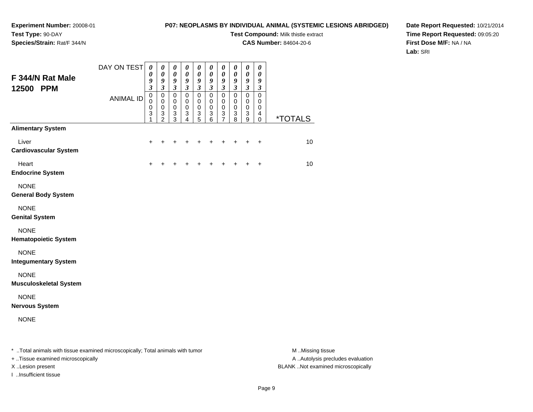### **P07: NEOPLASMS BY INDIVIDUAL ANIMAL (SYSTEMIC LESIONS ABRIDGED)**

**Test Compound:** Milk thistle extract

**CAS Number:** 84604-20-6

**Date Report Requested:** 10/21/2014**Time Report Requested:** 09:05:20**First Dose M/F:** NA / NA**Lab:** SRI

| F 344/N Rat Male<br>12500 PPM                                                  | DAY ON TEST      | 0<br>$\pmb{\theta}$<br>9<br>3 | $\boldsymbol{\theta}$<br>$\pmb{\theta}$<br>$\pmb{9}$<br>$\boldsymbol{\beta}$ | $\boldsymbol{\theta}$<br>$\pmb{\theta}$<br>$\boldsymbol{g}$<br>$\boldsymbol{\beta}$    | $\boldsymbol{\theta}$<br>$\pmb{\theta}$<br>9<br>$\boldsymbol{\beta}$ | 0<br>$\pmb{\theta}$<br>$\boldsymbol{g}$<br>$\boldsymbol{\beta}$       | $\boldsymbol{\theta}$<br>$\boldsymbol{\theta}$<br>$\boldsymbol{9}$<br>$\boldsymbol{\beta}$ | $\boldsymbol{\theta}$<br>$\boldsymbol{\theta}$<br>9<br>$\boldsymbol{\beta}$ | 0<br>$\pmb{\theta}$<br>$\boldsymbol{g}$<br>$\mathfrak{z}$                  | 0<br>$\pmb{\theta}$<br>$\boldsymbol{g}$<br>$\boldsymbol{\beta}$ | 0<br>$\pmb{\theta}$<br>9<br>3 |                       |
|--------------------------------------------------------------------------------|------------------|-------------------------------|------------------------------------------------------------------------------|----------------------------------------------------------------------------------------|----------------------------------------------------------------------|-----------------------------------------------------------------------|--------------------------------------------------------------------------------------------|-----------------------------------------------------------------------------|----------------------------------------------------------------------------|-----------------------------------------------------------------|-------------------------------|-----------------------|
|                                                                                | <b>ANIMAL ID</b> | $\pmb{0}$<br>0<br>0<br>3<br>1 | $\pmb{0}$<br>$\mathbf 0$<br>0<br>$\ensuremath{\mathsf{3}}$<br>$\overline{c}$ | $\pmb{0}$<br>$\mathbf 0$<br>$\mathbf 0$<br>$\ensuremath{\mathsf{3}}$<br>$\overline{3}$ | $\pmb{0}$<br>0<br>0<br>$\ensuremath{\mathsf{3}}$<br>4                | $\pmb{0}$<br>$\pmb{0}$<br>$\pmb{0}$<br>$\ensuremath{\mathsf{3}}$<br>5 | $\mathbf 0$<br>0<br>0<br>$\sqrt{3}$<br>$\,6$                                               | $\mathbf 0$<br>0<br>$\pmb{0}$<br>3<br>7                                     | $\pmb{0}$<br>0<br>$\pmb{0}$<br>$\ensuremath{\mathsf{3}}$<br>$\overline{8}$ | $\pmb{0}$<br>$\mathbf 0$<br>$\mathbf 0$<br>3<br>9               | $\pmb{0}$<br>0<br>0<br>4<br>0 | <i><b>*TOTALS</b></i> |
| <b>Alimentary System</b>                                                       |                  |                               |                                                                              |                                                                                        |                                                                      |                                                                       |                                                                                            |                                                                             |                                                                            |                                                                 |                               |                       |
| Liver<br><b>Cardiovascular System</b>                                          |                  | $\ddot{}$                     | +                                                                            |                                                                                        |                                                                      |                                                                       | ٠                                                                                          | +                                                                           | +                                                                          | $\ddot{}$                                                       | $\ddot{}$                     | 10                    |
| Heart<br><b>Endocrine System</b>                                               |                  | $\ddot{}$                     |                                                                              |                                                                                        |                                                                      |                                                                       |                                                                                            |                                                                             |                                                                            |                                                                 | $\ddot{}$                     | 10                    |
| <b>NONE</b><br><b>General Body System</b>                                      |                  |                               |                                                                              |                                                                                        |                                                                      |                                                                       |                                                                                            |                                                                             |                                                                            |                                                                 |                               |                       |
| <b>NONE</b><br><b>Genital System</b>                                           |                  |                               |                                                                              |                                                                                        |                                                                      |                                                                       |                                                                                            |                                                                             |                                                                            |                                                                 |                               |                       |
| <b>NONE</b><br><b>Hematopoietic System</b>                                     |                  |                               |                                                                              |                                                                                        |                                                                      |                                                                       |                                                                                            |                                                                             |                                                                            |                                                                 |                               |                       |
| <b>NONE</b><br><b>Integumentary System</b>                                     |                  |                               |                                                                              |                                                                                        |                                                                      |                                                                       |                                                                                            |                                                                             |                                                                            |                                                                 |                               |                       |
| <b>NONE</b><br><b>Musculoskeletal System</b>                                   |                  |                               |                                                                              |                                                                                        |                                                                      |                                                                       |                                                                                            |                                                                             |                                                                            |                                                                 |                               |                       |
| <b>NONE</b><br><b>Nervous System</b>                                           |                  |                               |                                                                              |                                                                                        |                                                                      |                                                                       |                                                                                            |                                                                             |                                                                            |                                                                 |                               |                       |
| <b>NONE</b>                                                                    |                  |                               |                                                                              |                                                                                        |                                                                      |                                                                       |                                                                                            |                                                                             |                                                                            |                                                                 |                               |                       |
| * Total animals with tissue examined microscopically; Total animals with tumor |                  |                               |                                                                              |                                                                                        |                                                                      |                                                                       |                                                                                            |                                                                             |                                                                            |                                                                 |                               | M Missing tissue      |

- + ..Tissue examined microscopically
- 
- I ..Insufficient tissue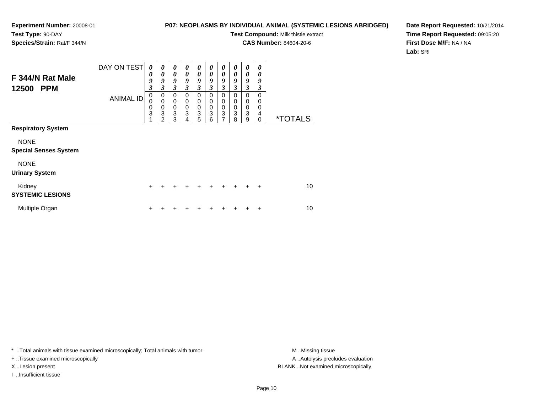### **P07: NEOPLASMS BY INDIVIDUAL ANIMAL (SYSTEMIC LESIONS ABRIDGED)**

**Test Compound:** Milk thistle extract

**CAS Number:** 84604-20-6

**Date Report Requested:** 10/21/2014**Time Report Requested:** 09:05:20**First Dose M/F:** NA / NA**Lab:** SRI

| F 344/N Rat Male<br>12500<br><b>PPM</b>     | DAY ON TEST      | 0<br>0<br>9<br>$\overline{\mathbf{3}}$ | 0<br>0<br>9<br>3                | 0<br>$\boldsymbol{\theta}$<br>9<br>3      | 0<br>$\boldsymbol{\theta}$<br>9<br>3                | $\boldsymbol{\theta}$<br>$\boldsymbol{\theta}$<br>9<br>$\mathfrak{z}$ | $\boldsymbol{\theta}$<br>$\boldsymbol{\theta}$<br>9<br>$\boldsymbol{\beta}$ | 0<br>0<br>9<br>3                                             | 0<br>0<br>9<br>3             | 0<br>$\theta$<br>9<br>$\overline{\mathbf{3}}$ | 0<br>0<br>9<br>3             |                       |
|---------------------------------------------|------------------|----------------------------------------|---------------------------------|-------------------------------------------|-----------------------------------------------------|-----------------------------------------------------------------------|-----------------------------------------------------------------------------|--------------------------------------------------------------|------------------------------|-----------------------------------------------|------------------------------|-----------------------|
|                                             | <b>ANIMAL ID</b> | 0<br>0<br>0<br>3<br>1                  | 0<br>$\mathbf 0$<br>0<br>3<br>2 | 0<br>$\mathbf 0$<br>$\mathbf 0$<br>3<br>3 | $\mathbf 0$<br>$\mathbf 0$<br>$\mathbf 0$<br>3<br>4 | 0<br>0<br>$\mathbf 0$<br>3<br>5                                       | 0<br>0<br>$\mathbf 0$<br>3<br>6                                             | 0<br>0<br>$\boldsymbol{0}$<br>$\ensuremath{\mathsf{3}}$<br>7 | $\Omega$<br>0<br>0<br>3<br>8 | 0<br>0<br>0<br>3<br>9                         | 0<br>0<br>0<br>4<br>$\Omega$ | <i><b>*TOTALS</b></i> |
| <b>Respiratory System</b>                   |                  |                                        |                                 |                                           |                                                     |                                                                       |                                                                             |                                                              |                              |                                               |                              |                       |
| <b>NONE</b><br><b>Special Senses System</b> |                  |                                        |                                 |                                           |                                                     |                                                                       |                                                                             |                                                              |                              |                                               |                              |                       |
| <b>NONE</b><br><b>Urinary System</b>        |                  |                                        |                                 |                                           |                                                     |                                                                       |                                                                             |                                                              |                              |                                               |                              |                       |
| Kidney<br><b>SYSTEMIC LESIONS</b>           |                  | $\ddot{}$                              | ÷                               | +                                         | $\div$                                              | $\div$                                                                | $\div$                                                                      | ÷                                                            | ÷                            | $\div$                                        | $\ddot{}$                    | 10                    |
| Multiple Organ                              |                  | $\ddot{}$                              |                                 |                                           |                                                     |                                                                       |                                                                             |                                                              |                              | ٠                                             | +                            | 10                    |

\* ..Total animals with tissue examined microscopically; Total animals with tumor **M** . Missing tissue M ..Missing tissue

+ ..Tissue examined microscopically

I ..Insufficient tissue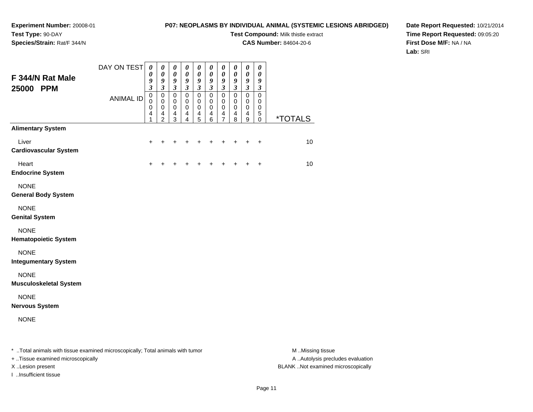### **P07: NEOPLASMS BY INDIVIDUAL ANIMAL (SYSTEMIC LESIONS ABRIDGED)**

**Test Compound:** Milk thistle extract

**CAS Number:** 84604-20-6

**Date Report Requested:** 10/21/2014**Time Report Requested:** 09:05:20**First Dose M/F:** NA / NA**Lab:** SRI

| F 344/N Rat Male<br>25000<br><b>PPM</b>                                        | DAY ON TEST      | 0<br>0<br>9<br>3              | $\boldsymbol{\theta}$<br>$\pmb{\theta}$<br>9<br>$\boldsymbol{\beta}$         | $\pmb{\theta}$<br>$\pmb{\theta}$<br>9<br>$\mathfrak{z}$                    | $\pmb{\theta}$<br>$\boldsymbol{\theta}$<br>9<br>$\boldsymbol{\beta}$ | 0<br>$\pmb{\theta}$<br>$\boldsymbol{9}$<br>$\mathfrak{z}$   | 0<br>$\boldsymbol{\theta}$<br>9<br>$\boldsymbol{\beta}$ | $\boldsymbol{\theta}$<br>$\boldsymbol{\theta}$<br>9<br>$\mathfrak{z}$ | 0<br>$\pmb{\theta}$<br>9<br>$\mathfrak{z}$          | 0<br>$\pmb{\theta}$<br>9<br>$\mathfrak{z}$ | 0<br>$\pmb{\theta}$<br>9<br>3             |                       |
|--------------------------------------------------------------------------------|------------------|-------------------------------|------------------------------------------------------------------------------|----------------------------------------------------------------------------|----------------------------------------------------------------------|-------------------------------------------------------------|---------------------------------------------------------|-----------------------------------------------------------------------|-----------------------------------------------------|--------------------------------------------|-------------------------------------------|-----------------------|
|                                                                                | <b>ANIMAL ID</b> | $\pmb{0}$<br>0<br>0<br>4<br>1 | $\mathbf 0$<br>$\mathbf 0$<br>0<br>$\overline{\mathbf{4}}$<br>$\overline{c}$ | $\mathbf 0$<br>$\mathbf 0$<br>0<br>$\overline{\mathbf{4}}$<br>$\mathbf{3}$ | $\pmb{0}$<br>$\pmb{0}$<br>0<br>4<br>4                                | $\pmb{0}$<br>$\pmb{0}$<br>0<br>$\overline{\mathbf{4}}$<br>5 | $\mathbf 0$<br>0<br>0<br>4<br>$\,6$                     | $\mathbf 0$<br>$\pmb{0}$<br>0<br>4<br>7                               | $\pmb{0}$<br>0<br>0<br>$\overline{\mathbf{4}}$<br>8 | $\mathbf 0$<br>0<br>$\mathbf 0$<br>4<br>9  | $\mathbf 0$<br>0<br>0<br>$\mathbf 5$<br>0 | <i><b>*TOTALS</b></i> |
| <b>Alimentary System</b>                                                       |                  |                               |                                                                              |                                                                            |                                                                      |                                                             |                                                         |                                                                       |                                                     |                                            |                                           |                       |
| Liver<br><b>Cardiovascular System</b>                                          |                  | $\ddot{}$                     | +                                                                            |                                                                            |                                                                      |                                                             | +                                                       | +                                                                     | +                                                   | $\ddot{}$                                  | $\ddot{}$                                 | 10                    |
| Heart<br><b>Endocrine System</b>                                               |                  | ÷                             |                                                                              |                                                                            |                                                                      |                                                             |                                                         |                                                                       |                                                     |                                            | $\ddot{}$                                 | 10                    |
| <b>NONE</b><br><b>General Body System</b>                                      |                  |                               |                                                                              |                                                                            |                                                                      |                                                             |                                                         |                                                                       |                                                     |                                            |                                           |                       |
| <b>NONE</b><br><b>Genital System</b>                                           |                  |                               |                                                                              |                                                                            |                                                                      |                                                             |                                                         |                                                                       |                                                     |                                            |                                           |                       |
| <b>NONE</b><br><b>Hematopoietic System</b>                                     |                  |                               |                                                                              |                                                                            |                                                                      |                                                             |                                                         |                                                                       |                                                     |                                            |                                           |                       |
| <b>NONE</b><br><b>Integumentary System</b>                                     |                  |                               |                                                                              |                                                                            |                                                                      |                                                             |                                                         |                                                                       |                                                     |                                            |                                           |                       |
| <b>NONE</b><br><b>Musculoskeletal System</b>                                   |                  |                               |                                                                              |                                                                            |                                                                      |                                                             |                                                         |                                                                       |                                                     |                                            |                                           |                       |
| <b>NONE</b><br><b>Nervous System</b>                                           |                  |                               |                                                                              |                                                                            |                                                                      |                                                             |                                                         |                                                                       |                                                     |                                            |                                           |                       |
| <b>NONE</b>                                                                    |                  |                               |                                                                              |                                                                            |                                                                      |                                                             |                                                         |                                                                       |                                                     |                                            |                                           |                       |
| * Total animals with tissue examined microscopically; Total animals with tumor |                  |                               |                                                                              |                                                                            |                                                                      |                                                             |                                                         |                                                                       |                                                     |                                            |                                           | M Missing tissue      |

+ ..Tissue examined microscopically

I ..Insufficient tissue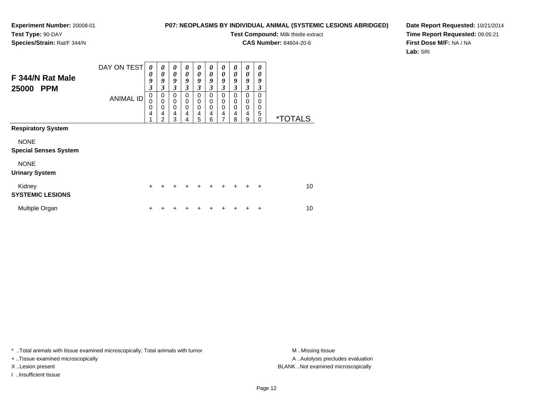### **P07: NEOPLASMS BY INDIVIDUAL ANIMAL (SYSTEMIC LESIONS ABRIDGED)**

**Test Compound:** Milk thistle extract

**CAS Number:** 84604-20-6

**Date Report Requested:** 10/21/2014**Time Report Requested:** 09:05:21**First Dose M/F:** NA / NA**Lab:** SRI

| F 344/N Rat Male<br>25000<br><b>PPM</b>     | DAY ON TEST      | 0<br>0<br>9<br>$\overline{\mathbf{3}}$ | 0<br>$\boldsymbol{\theta}$<br>9<br>3                   | $\boldsymbol{\theta}$<br>$\boldsymbol{\theta}$<br>9<br>$\mathfrak{z}$ | 0<br>$\theta$<br>9<br>3 | 0<br>$\boldsymbol{\theta}$<br>9<br>$\boldsymbol{\beta}$ | 0<br>0<br>9<br>3                       | $\boldsymbol{\theta}$<br>$\boldsymbol{\theta}$<br>9<br>$\mathfrak{z}$ | 0<br>$\boldsymbol{\theta}$<br>9<br>3 | 0<br>0<br>9<br>$\mathfrak{z}$             | 0<br>0<br>9<br>3                    |                       |
|---------------------------------------------|------------------|----------------------------------------|--------------------------------------------------------|-----------------------------------------------------------------------|-------------------------|---------------------------------------------------------|----------------------------------------|-----------------------------------------------------------------------|--------------------------------------|-------------------------------------------|-------------------------------------|-----------------------|
|                                             | <b>ANIMAL ID</b> | 0<br>0<br>0<br>4<br>1                  | 0<br>$\mathbf 0$<br>$\mathbf 0$<br>4<br>$\overline{2}$ | 0<br>$\mathbf 0$<br>$\mathbf 0$<br>4<br>3                             | 0<br>0<br>0<br>4<br>4   | $\mathbf 0$<br>$\mathbf 0$<br>$\mathbf 0$<br>4<br>5     | $\Omega$<br>0<br>$\mathbf 0$<br>4<br>6 | 0<br>0<br>0<br>$\overline{\mathbf{4}}$<br>7                           | 0<br>0<br>0<br>4<br>8                | $\mathbf 0$<br>0<br>$\mathbf 0$<br>4<br>9 | $\Omega$<br>0<br>0<br>5<br>$\Omega$ | <i><b>*TOTALS</b></i> |
| <b>Respiratory System</b>                   |                  |                                        |                                                        |                                                                       |                         |                                                         |                                        |                                                                       |                                      |                                           |                                     |                       |
| <b>NONE</b><br><b>Special Senses System</b> |                  |                                        |                                                        |                                                                       |                         |                                                         |                                        |                                                                       |                                      |                                           |                                     |                       |
| <b>NONE</b><br><b>Urinary System</b>        |                  |                                        |                                                        |                                                                       |                         |                                                         |                                        |                                                                       |                                      |                                           |                                     |                       |
| Kidney<br><b>SYSTEMIC LESIONS</b>           |                  | $\ddot{}$                              | +                                                      | $\ddot{}$                                                             | $\div$                  | $\ddot{}$                                               | $\div$                                 | $\div$                                                                | $\ddot{}$                            | $\div$                                    | $\ddot{}$                           | 10                    |
| Multiple Organ                              |                  | $\ddot{}$                              |                                                        |                                                                       |                         |                                                         |                                        |                                                                       |                                      |                                           | $\ddot{}$                           | 10                    |

\* ..Total animals with tissue examined microscopically; Total animals with tumor **M** . Missing tissue M ..Missing tissue

+ ..Tissue examined microscopically

I ..Insufficient tissue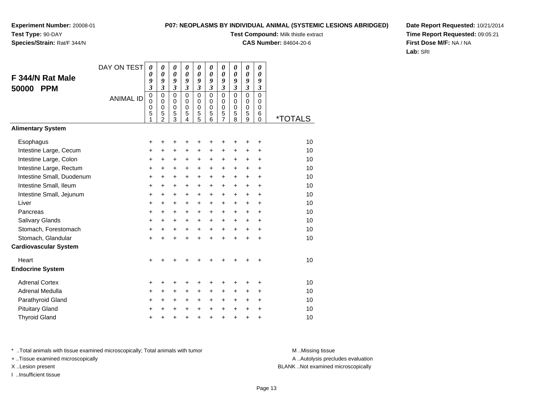### **P07: NEOPLASMS BY INDIVIDUAL ANIMAL (SYSTEMIC LESIONS ABRIDGED)**

**Test Compound:** Milk thistle extract

**CAS Number:** 84604-20-6

**Date Report Requested:** 10/21/2014**Time Report Requested:** 09:05:21**First Dose M/F:** NA / NA**Lab:** SRI

|                              | DAY ON TEST      | 0<br>0                     | $\boldsymbol{\theta}$<br>0 | $\boldsymbol{\theta}$<br>0 | 0<br>0                     | 0<br>$\theta$               | 0<br>0               | 0<br>$\theta$    | 0<br>0           | 0<br>$\boldsymbol{\theta}$ | 0<br>$\boldsymbol{\theta}$ |                       |
|------------------------------|------------------|----------------------------|----------------------------|----------------------------|----------------------------|-----------------------------|----------------------|------------------|------------------|----------------------------|----------------------------|-----------------------|
| F 344/N Rat Male             |                  | 9                          | 9                          | 9                          | 9                          | 9                           | 9                    | 9                | 9                | 9                          | 9                          |                       |
| <b>PPM</b><br>50000          |                  | $\overline{\mathbf{3}}$    | $\mathfrak{z}$             | $\mathfrak{z}$             | $\mathfrak{z}$             | $\boldsymbol{\mathfrak{z}}$ | $\overline{3}$       | $\mathfrak{z}$   | $\mathfrak{z}$   | $\overline{\mathbf{3}}$    | $\boldsymbol{\beta}$       |                       |
|                              | <b>ANIMAL ID</b> | $\mathbf 0$<br>$\mathbf 0$ | $\mathbf 0$<br>$\mathbf 0$ | $\mathbf 0$<br>0           | $\mathbf 0$<br>$\mathbf 0$ | $\mathbf 0$<br>0            | $\Omega$<br>$\Omega$ | $\mathbf 0$<br>0 | $\mathbf 0$<br>0 | $\mathbf 0$<br>$\mathbf 0$ | $\mathbf 0$<br>0           |                       |
|                              |                  | 0                          | $\mathbf 0$                | $\mathbf 0$                | $\mathbf 0$                | 0                           | $\mathbf 0$          | $\pmb{0}$        | $\mathbf 0$      | $\mathbf 0$                | $\mathbf 0$                |                       |
|                              |                  | 5<br>1                     | 5<br>$\overline{2}$        | 5<br>3                     | 5<br>4                     | 5<br>$\overline{5}$         | 5<br>6               | 5<br>7           | 5<br>8           | 5<br>9                     | 6<br>$\Omega$              | <i><b>*TOTALS</b></i> |
| <b>Alimentary System</b>     |                  |                            |                            |                            |                            |                             |                      |                  |                  |                            |                            |                       |
| Esophagus                    |                  | +                          | +                          |                            |                            | +                           | +                    | +                |                  | ٠                          | +                          | 10                    |
| Intestine Large, Cecum       |                  | +                          | $\ddot{}$                  | $\ddot{}$                  | $\ddot{}$                  | $\ddot{}$                   | $\ddot{}$            | $\ddot{}$        | $\ddot{}$        | $\ddot{}$                  | $\ddot{}$                  | 10                    |
| Intestine Large, Colon       |                  | +                          | +                          | +                          | $\ddot{}$                  | +                           | +                    | +                | $\ddot{}$        | $\ddot{}$                  | +                          | 10                    |
| Intestine Large, Rectum      |                  | +                          | $\ddot{}$                  | $\ddot{}$                  | $\ddot{}$                  | $\ddot{}$                   | $\ddot{}$            | $\ddot{}$        | $\ddot{}$        | $\ddot{}$                  | $\ddot{}$                  | 10                    |
| Intestine Small, Duodenum    |                  | $\ddot{}$                  | $\ddot{}$                  | $\ddot{}$                  | $\ddot{}$                  | $\ddot{}$                   | $\ddot{}$            | $\ddot{}$        | $+$              | $+$                        | $\ddot{}$                  | 10                    |
| Intestine Small, Ileum       |                  | +                          | $\ddot{}$                  | $\ddot{}$                  | $\ddot{}$                  | +                           | +                    | +                | $\ddot{}$        | $\ddot{}$                  | +                          | 10                    |
| Intestine Small, Jejunum     |                  | $\ddot{}$                  | $\ddot{}$                  | $\ddot{}$                  | $\ddot{}$                  | +                           | $\ddot{}$            | +                | $\ddot{}$        | $\ddot{}$                  | $\ddot{}$                  | 10                    |
| Liver                        |                  | $\ddot{}$                  | $\ddot{}$                  | $\ddot{}$                  | $\ddot{}$                  | $\ddot{}$                   | $\ddot{}$            | $\ddot{}$        | $\ddot{}$        | $\ddot{}$                  | $\ddot{}$                  | 10                    |
| Pancreas                     |                  | $\ddot{}$                  | $\ddot{}$                  | $\ddot{}$                  | $\ddot{}$                  | $\ddot{}$                   | +                    | $\ddot{}$        | $\ddot{}$        | $\ddot{}$                  | +                          | 10                    |
| <b>Salivary Glands</b>       |                  | $\ddot{}$                  | $\ddot{}$                  | $\ddot{}$                  | +                          | +                           | +                    | +                | $\ddot{}$        | $\ddot{}$                  | +                          | 10                    |
| Stomach, Forestomach         |                  | +                          | $\ddot{}$                  | $\ddot{}$                  | $\ddot{}$                  | $\ddot{}$                   | $\ddot{}$            | $\ddot{}$        | $+$              | $+$                        | $\ddot{}$                  | 10                    |
| Stomach, Glandular           |                  | $\ddot{}$                  | $\ddot{}$                  | $\ddot{}$                  | $\ddot{}$                  | $\ddot{}$                   | $\ddot{}$            | $\ddot{}$        | $\ddot{}$        | $\ddot{}$                  | +                          | 10                    |
| <b>Cardiovascular System</b> |                  |                            |                            |                            |                            |                             |                      |                  |                  |                            |                            |                       |
| Heart                        |                  | $\ddot{}$                  |                            |                            |                            |                             |                      |                  |                  |                            | +                          | 10                    |
| <b>Endocrine System</b>      |                  |                            |                            |                            |                            |                             |                      |                  |                  |                            |                            |                       |
| <b>Adrenal Cortex</b>        |                  | +                          | +                          | +                          | +                          | +                           | +                    | +                | ÷                | ٠                          | ٠                          | 10                    |
| Adrenal Medulla              |                  | +                          | +                          | +                          | $\ddot{}$                  | +                           | +                    | +                | $\ddot{}$        | +                          | $\ddot{}$                  | 10                    |
| Parathyroid Gland            |                  | +                          | $\ddot{}$                  | $\ddot{}$                  | $\ddot{}$                  | $\ddot{}$                   | $\ddot{}$            | +                | $\ddot{}$        | $\ddot{}$                  | $\ddot{}$                  | 10                    |
| <b>Pituitary Gland</b>       |                  | +                          | +                          | +                          | +                          | +                           | $\ddot{}$            | $\ddot{}$        | $\ddot{}$        | $\ddot{}$                  | +                          | 10                    |
| <b>Thyroid Gland</b>         |                  | $\ddot{}$                  | +                          | $\ddot{}$                  | +                          | $\ddot{}$                   | $\ddot{}$            | $\ddot{}$        | $\ddot{}$        | $\ddot{}$                  | +                          | 10                    |

\* ..Total animals with tissue examined microscopically; Total animals with tumor **M** . Missing tissue M ..Missing tissue

+ ..Tissue examined microscopically

I ..Insufficient tissue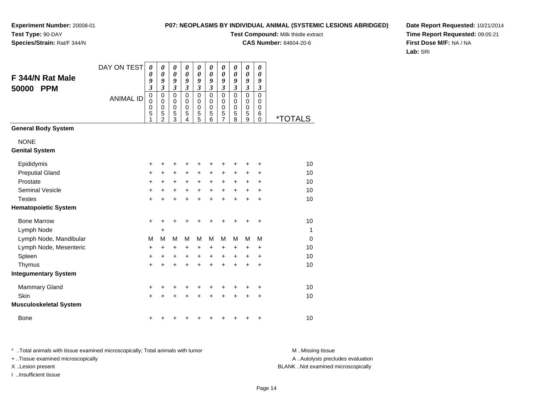### **P07: NEOPLASMS BY INDIVIDUAL ANIMAL (SYSTEMIC LESIONS ABRIDGED)**

**Test Compound:** Milk thistle extract

**CAS Number:** 84604-20-6

**Date Report Requested:** 10/21/2014**Time Report Requested:** 09:05:21**First Dose M/F:** NA / NA**Lab:** SRI

| F 344/N Rat Male<br>50000<br><b>PPM</b> | DAY ON TEST      | $\boldsymbol{\theta}$<br>0<br>9<br>$\overline{\mathbf{3}}$ | 0<br>0<br>9<br>$\overline{\mathbf{3}}$       | 0<br>$\boldsymbol{\theta}$<br>9<br>$\overline{\mathbf{3}}$ | $\boldsymbol{\theta}$<br>$\boldsymbol{\theta}$<br>9<br>$\overline{\mathbf{3}}$ | $\boldsymbol{\theta}$<br>$\boldsymbol{\theta}$<br>9<br>$\mathfrak{z}$ | $\boldsymbol{\theta}$<br>$\boldsymbol{\theta}$<br>9<br>$\mathfrak{z}$ | 0<br>$\boldsymbol{\theta}$<br>9<br>$\mathfrak{z}$      | 0<br>$\boldsymbol{\theta}$<br>9<br>$\mathfrak{z}$ | $\boldsymbol{\theta}$<br>0<br>9<br>$\boldsymbol{\mathfrak{z}}$ | 0<br>0<br>9<br>$\mathfrak{z}$ |                       |
|-----------------------------------------|------------------|------------------------------------------------------------|----------------------------------------------|------------------------------------------------------------|--------------------------------------------------------------------------------|-----------------------------------------------------------------------|-----------------------------------------------------------------------|--------------------------------------------------------|---------------------------------------------------|----------------------------------------------------------------|-------------------------------|-----------------------|
|                                         | <b>ANIMAL ID</b> | $\mathbf 0$<br>$\mathbf 0$<br>$\mathbf 0$<br>5<br>1        | $\mathbf 0$<br>0<br>0<br>5<br>$\overline{c}$ | $\mathbf 0$<br>$\mathbf 0$<br>0<br>5<br>3                  | $\mathbf 0$<br>0<br>$\mathbf 0$<br>5<br>4                                      | $\mathbf 0$<br>0<br>$\mathbf 0$<br>5<br>5                             | $\mathbf 0$<br>0<br>$\pmb{0}$<br>5<br>6                               | $\mathbf 0$<br>0<br>$\mathbf 0$<br>5<br>$\overline{7}$ | $\mathbf 0$<br>$\mathbf 0$<br>$\pmb{0}$<br>5<br>8 | $\mathbf 0$<br>0<br>$\mathbf 0$<br>5<br>9                      | 0<br>0<br>0<br>6<br>$\Omega$  | <i><b>*TOTALS</b></i> |
| <b>General Body System</b>              |                  |                                                            |                                              |                                                            |                                                                                |                                                                       |                                                                       |                                                        |                                                   |                                                                |                               |                       |
| <b>NONE</b><br><b>Genital System</b>    |                  |                                                            |                                              |                                                            |                                                                                |                                                                       |                                                                       |                                                        |                                                   |                                                                |                               |                       |
| Epididymis                              |                  | +                                                          | +                                            | +                                                          | +                                                                              | +                                                                     |                                                                       | +                                                      | +                                                 | +                                                              | +                             | 10                    |
| <b>Preputial Gland</b>                  |                  | $\ddot{}$                                                  | +                                            | +                                                          | +                                                                              | $\ddot{}$                                                             | $\pm$                                                                 | +                                                      | +                                                 | +                                                              | +                             | 10                    |
| Prostate                                |                  | +                                                          | $\ddot{}$                                    | +                                                          | $\ddot{}$                                                                      | +                                                                     | $\ddot{}$                                                             | +                                                      | +                                                 | +                                                              | +                             | 10                    |
| <b>Seminal Vesicle</b>                  |                  | +                                                          | +                                            | +                                                          | $\ddot{}$                                                                      | $\ddot{}$                                                             | $\ddot{}$                                                             | $\ddot{}$                                              | $\ddot{}$                                         | $\ddot{}$                                                      | $\ddot{}$                     | 10                    |
| <b>Testes</b>                           |                  | $\ddot{}$                                                  | +                                            | +                                                          | +                                                                              | +                                                                     |                                                                       | $\ddot{}$                                              | $\ddot{}$                                         | $\ddot{}$                                                      | $\ddot{}$                     | 10                    |
| <b>Hematopoietic System</b>             |                  |                                                            |                                              |                                                            |                                                                                |                                                                       |                                                                       |                                                        |                                                   |                                                                |                               |                       |
| <b>Bone Marrow</b>                      |                  | $\ddot{}$                                                  | +                                            | $\ddot{}$                                                  | +                                                                              | +                                                                     |                                                                       | +                                                      | +                                                 | +                                                              | +                             | 10                    |
| Lymph Node                              |                  |                                                            | +                                            |                                                            |                                                                                |                                                                       |                                                                       |                                                        |                                                   |                                                                |                               | $\mathbf{1}$          |
| Lymph Node, Mandibular                  |                  | M                                                          | M                                            | M                                                          | M                                                                              | M                                                                     | M                                                                     | M                                                      | M                                                 | M                                                              | M                             | $\mathbf 0$           |
| Lymph Node, Mesenteric                  |                  | +                                                          | +                                            | +                                                          | +                                                                              | +                                                                     | +                                                                     | +                                                      | +                                                 | +                                                              | +                             | 10                    |
| Spleen                                  |                  | +                                                          | +                                            | +                                                          | +                                                                              | +                                                                     | $\ddot{}$                                                             | $\ddot{}$                                              | $\ddot{}$                                         | +                                                              | $\ddot{}$                     | 10                    |
| Thymus                                  |                  | $\ddot{}$                                                  | +                                            | +                                                          | +                                                                              | +                                                                     |                                                                       | $\ddot{}$                                              | $\ddot{}$                                         | $\ddot{}$                                                      | $\ddot{}$                     | 10                    |
| <b>Integumentary System</b>             |                  |                                                            |                                              |                                                            |                                                                                |                                                                       |                                                                       |                                                        |                                                   |                                                                |                               |                       |
| <b>Mammary Gland</b>                    |                  | +                                                          | +                                            | +                                                          | +                                                                              | +                                                                     | +                                                                     | +                                                      | +                                                 | +                                                              | +                             | 10                    |
| Skin                                    |                  | $\ddot{}$                                                  |                                              | +                                                          | +                                                                              | +                                                                     |                                                                       | +                                                      |                                                   | +                                                              | +                             | 10                    |
| <b>Musculoskeletal System</b>           |                  |                                                            |                                              |                                                            |                                                                                |                                                                       |                                                                       |                                                        |                                                   |                                                                |                               |                       |
| <b>Bone</b>                             |                  | +                                                          |                                              |                                                            |                                                                                |                                                                       |                                                                       |                                                        |                                                   | +                                                              | +                             | 10                    |

\* ..Total animals with tissue examined microscopically; Total animals with tumor **M** . Missing tissue M ..Missing tissue A ..Autolysis precludes evaluation + ..Tissue examined microscopically X ..Lesion present BLANK ..Not examined microscopicallyI ..Insufficient tissue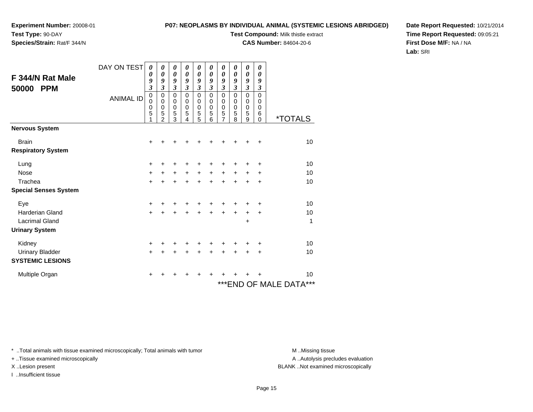**Experiment Number:** 20008-01**Test Type:** 90-DAY

### **Species/Strain:** Rat/F 344/N

### **P07: NEOPLASMS BY INDIVIDUAL ANIMAL (SYSTEMIC LESIONS ABRIDGED)**

**Test Compound:** Milk thistle extract

**CAS Number:** 84604-20-6

**Date Report Requested:** 10/21/2014**Time Report Requested:** 09:05:21**First Dose M/F:** NA / NA**Lab:** SRI

| F 344/N Rat Male<br>50000<br><b>PPM</b>   | DAY ON TEST<br><b>ANIMAL ID</b> | 0<br>0<br>9<br>$\overline{\mathbf{3}}$<br>$\,0\,$<br>0<br>0<br>5 | 0<br>0<br>9<br>3<br>$\pmb{0}$<br>$\mathbf 0$<br>$\mathbf 0$<br>5<br>$\overline{2}$ | 0<br>0<br>9<br>$\mathfrak{z}$<br>$\pmb{0}$<br>0<br>$\mathbf 0$<br>5<br>3 | 0<br>0<br>9<br>3<br>$\mathbf 0$<br>$\mathbf 0$<br>$\mathbf 0$<br>5<br>4 | 0<br>0<br>9<br>3<br>$\mathbf 0$<br>0<br>$\mathbf 0$<br>5<br>5 | 0<br>0<br>9<br>$\mathfrak{z}$<br>$\pmb{0}$<br>$\pmb{0}$<br>$\mathbf 0$<br>5<br>6 | 0<br>0<br>9<br>$\mathfrak{z}$<br>0<br>0<br>0<br>5<br>7 | 0<br>0<br>9<br>$\mathfrak{z}$<br>$\pmb{0}$<br>$\mathbf 0$<br>$\mathbf 0$<br>5<br>8 | 0<br>$\boldsymbol{\theta}$<br>9<br>$\mathfrak{z}$<br>$\mathbf 0$<br>$\pmb{0}$<br>$\mathbf 0$<br>5<br>9 | 0<br>$\boldsymbol{\theta}$<br>9<br>$\mathfrak{z}$<br>$\mathbf 0$<br>0<br>$\mathbf 0$<br>6<br>0 | <i><b>*TOTALS</b></i>      |
|-------------------------------------------|---------------------------------|------------------------------------------------------------------|------------------------------------------------------------------------------------|--------------------------------------------------------------------------|-------------------------------------------------------------------------|---------------------------------------------------------------|----------------------------------------------------------------------------------|--------------------------------------------------------|------------------------------------------------------------------------------------|--------------------------------------------------------------------------------------------------------|------------------------------------------------------------------------------------------------|----------------------------|
| <b>Nervous System</b>                     |                                 |                                                                  |                                                                                    |                                                                          |                                                                         |                                                               |                                                                                  |                                                        |                                                                                    |                                                                                                        |                                                                                                |                            |
| <b>Brain</b><br><b>Respiratory System</b> |                                 | +                                                                |                                                                                    |                                                                          |                                                                         |                                                               |                                                                                  |                                                        |                                                                                    |                                                                                                        | ٠                                                                                              | 10                         |
| Lung                                      |                                 | $\ddot{}$                                                        |                                                                                    |                                                                          |                                                                         | ٠                                                             | ٠                                                                                | ٠                                                      | ٠                                                                                  | +                                                                                                      | +                                                                                              | 10                         |
| <b>Nose</b>                               |                                 | $\ddot{}$                                                        |                                                                                    | $\ddot{}$                                                                | $\ddot{}$                                                               | $\ddot{}$                                                     | $\ddot{}$                                                                        | $\ddot{}$                                              | $\ddot{}$                                                                          | +                                                                                                      | $\ddot{}$                                                                                      | 10                         |
| Trachea                                   |                                 | $\ddot{}$                                                        |                                                                                    | $\ddot{}$                                                                | $\ddot{}$                                                               | $\ddot{}$                                                     | $\ddot{}$                                                                        | $\ddot{}$                                              | $\ddot{}$                                                                          | $\ddot{}$                                                                                              | $\ddot{}$                                                                                      | 10                         |
| <b>Special Senses System</b>              |                                 |                                                                  |                                                                                    |                                                                          |                                                                         |                                                               |                                                                                  |                                                        |                                                                                    |                                                                                                        |                                                                                                |                            |
| Eye                                       |                                 | +                                                                |                                                                                    |                                                                          | +                                                                       | +                                                             | +                                                                                | +                                                      | +                                                                                  | +                                                                                                      | $\ddot{}$                                                                                      | 10                         |
| <b>Harderian Gland</b>                    |                                 | $+$                                                              |                                                                                    |                                                                          |                                                                         | $\ddot{}$                                                     | $+$                                                                              | $+$                                                    | $\ddot{}$                                                                          | $\ddot{}$                                                                                              | $\ddot{}$                                                                                      | 10                         |
| <b>Lacrimal Gland</b>                     |                                 |                                                                  |                                                                                    |                                                                          |                                                                         |                                                               |                                                                                  |                                                        |                                                                                    | +                                                                                                      |                                                                                                | 1                          |
| <b>Urinary System</b>                     |                                 |                                                                  |                                                                                    |                                                                          |                                                                         |                                                               |                                                                                  |                                                        |                                                                                    |                                                                                                        |                                                                                                |                            |
| Kidney                                    |                                 | +                                                                |                                                                                    |                                                                          |                                                                         | +                                                             | +                                                                                |                                                        | +                                                                                  | +                                                                                                      | $\ddot{}$                                                                                      | 10                         |
| <b>Urinary Bladder</b>                    |                                 | $+$                                                              |                                                                                    | +                                                                        | +                                                                       | $\ddot{}$                                                     | $\ddot{}$                                                                        | +                                                      | $\ddot{}$                                                                          | +                                                                                                      | ÷                                                                                              | 10                         |
| <b>SYSTEMIC LESIONS</b>                   |                                 |                                                                  |                                                                                    |                                                                          |                                                                         |                                                               |                                                                                  |                                                        |                                                                                    |                                                                                                        |                                                                                                |                            |
| Multiple Organ                            |                                 | +                                                                |                                                                                    |                                                                          |                                                                         | +                                                             |                                                                                  |                                                        |                                                                                    |                                                                                                        |                                                                                                | 10                         |
|                                           |                                 |                                                                  |                                                                                    |                                                                          |                                                                         |                                                               |                                                                                  |                                                        |                                                                                    |                                                                                                        |                                                                                                | ***<br>***END OF MALE DATA |

\* ..Total animals with tissue examined microscopically; Total animals with tumor **M** . Missing tissue M ..Missing tissue

+ ..Tissue examined microscopically

I ..Insufficient tissue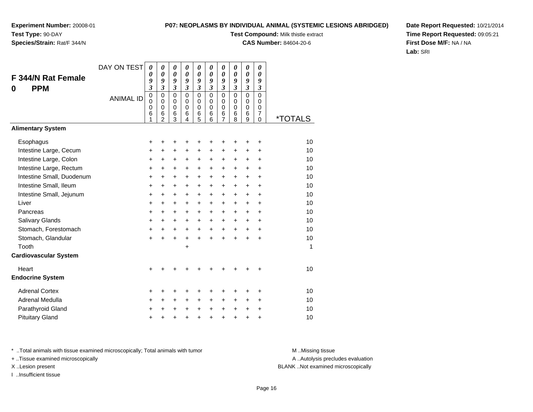### **P07: NEOPLASMS BY INDIVIDUAL ANIMAL (SYSTEMIC LESIONS ABRIDGED)**

**Test Compound:** Milk thistle extract

**CAS Number:** 84604-20-6

**Date Report Requested:** 10/21/2014**Time Report Requested:** 09:05:21**First Dose M/F:** NA / NA**Lab:** SRI

| F 344/N Rat Female<br><b>PPM</b><br>0 | DAY ON TEST      | 0<br>0<br>9<br>$\overline{\mathbf{3}}$<br>0 | 0<br>0<br>9<br>$\overline{\mathbf{3}}$<br>0 | 0<br>0<br>9<br>$\boldsymbol{\mathfrak{z}}$<br>$\mathbf 0$ | $\boldsymbol{\theta}$<br>0<br>9<br>$\mathfrak{z}$<br>$\mathbf 0$ | $\boldsymbol{\theta}$<br>$\boldsymbol{\theta}$<br>9<br>$\mathfrak{z}$<br>$\mathbf 0$ | 0<br>$\boldsymbol{\theta}$<br>9<br>$\mathfrak{z}$<br>$\mathbf 0$ | 0<br>0<br>9<br>$\mathfrak{z}$<br>$\mathbf 0$      | 0<br>0<br>9<br>$\mathfrak{z}$<br>$\mathbf 0$ | 0<br>0<br>9<br>$\boldsymbol{\mathfrak{z}}$<br>$\mathsf 0$ | 0<br>0<br>9<br>$\boldsymbol{\beta}$<br>$\overline{0}$ |                       |
|---------------------------------------|------------------|---------------------------------------------|---------------------------------------------|-----------------------------------------------------------|------------------------------------------------------------------|--------------------------------------------------------------------------------------|------------------------------------------------------------------|---------------------------------------------------|----------------------------------------------|-----------------------------------------------------------|-------------------------------------------------------|-----------------------|
|                                       | <b>ANIMAL ID</b> | $\mathbf 0$<br>0<br>6<br>1                  | $\mathbf 0$<br>0<br>6<br>$\overline{c}$     | $\mathbf 0$<br>0<br>6<br>3                                | $\mathbf 0$<br>$\mathbf 0$<br>6<br>4                             | 0<br>$\mathbf 0$<br>6<br>5                                                           | 0<br>$\mathbf 0$<br>6<br>6                                       | $\mathbf 0$<br>$\mathbf 0$<br>6<br>$\overline{7}$ | 0<br>$\mathbf 0$<br>6<br>8                   | $\mathbf 0$<br>$\pmb{0}$<br>6<br>9                        | $\Omega$<br>$\mathbf 0$<br>$\overline{7}$<br>0        | <i><b>*TOTALS</b></i> |
| <b>Alimentary System</b>              |                  |                                             |                                             |                                                           |                                                                  |                                                                                      |                                                                  |                                                   |                                              |                                                           |                                                       |                       |
| Esophagus                             |                  | +                                           | +                                           | +                                                         | +                                                                | +                                                                                    |                                                                  | ٠                                                 | +                                            | +                                                         | +                                                     | 10                    |
| Intestine Large, Cecum                |                  | +                                           | $\ddot{}$                                   | $\ddot{}$                                                 | $\ddot{}$                                                        | $\ddot{}$                                                                            | $\ddot{}$                                                        | $\ddot{}$                                         | $\ddot{}$                                    | $\ddot{}$                                                 | $\ddot{}$                                             | 10                    |
| Intestine Large, Colon                |                  | $\ddot{}$                                   | $\ddot{}$                                   | $\ddot{}$                                                 | $\ddot{}$                                                        | $\ddot{}$                                                                            | $\ddot{}$                                                        | $\ddot{}$                                         | +                                            | $\ddot{}$                                                 | $\ddot{}$                                             | 10                    |
| Intestine Large, Rectum               |                  | +                                           | $\ddot{}$                                   | +                                                         | $\ddot{}$                                                        | $\ddot{}$                                                                            | $\ddot{}$                                                        | $\ddot{}$                                         | $\ddot{}$                                    | $\ddot{}$                                                 | $\ddot{}$                                             | 10                    |
| Intestine Small, Duodenum             |                  | $\ddot{}$                                   | $\ddot{}$                                   | $\ddot{}$                                                 | $\ddot{}$                                                        | $\ddot{}$                                                                            | $+$                                                              | $\ddot{}$                                         | $\ddot{}$                                    | $\ddot{}$                                                 | $\ddot{}$                                             | 10                    |
| Intestine Small, Ileum                |                  | +                                           | +                                           | $\ddot{}$                                                 | $\ddot{}$                                                        | $\ddot{}$                                                                            | $\ddot{}$                                                        | $\ddot{}$                                         | +                                            | +                                                         | +                                                     | 10                    |
| Intestine Small, Jejunum              |                  | +                                           | +                                           | +                                                         | $\ddot{}$                                                        | $\ddot{}$                                                                            | $\ddot{}$                                                        | $\ddot{}$                                         | $\ddot{}$                                    | $\ddot{}$                                                 | $\ddot{}$                                             | 10                    |
| Liver                                 |                  | $\ddot{}$                                   | +                                           | +                                                         | $\ddot{}$                                                        | $\ddot{}$                                                                            | $\ddot{}$                                                        | $\ddot{}$                                         | $\ddot{}$                                    | $\ddot{}$                                                 | $\ddot{}$                                             | 10                    |
| Pancreas                              |                  | +                                           | +                                           | $\ddot{}$                                                 | $\ddot{}$                                                        | $\ddot{}$                                                                            | $\ddot{}$                                                        | $\ddot{}$                                         | $\ddot{}$                                    | $\ddot{}$                                                 | $\ddot{}$                                             | 10                    |
| Salivary Glands                       |                  | +                                           | +                                           | +                                                         | +                                                                | $\ddot{}$                                                                            | $\ddot{}$                                                        | $\ddot{}$                                         | +                                            | +                                                         | +                                                     | 10                    |
| Stomach, Forestomach                  |                  | $\ddot{}$                                   | $\ddot{}$                                   | $\ddot{}$                                                 | $+$                                                              | $\ddot{}$                                                                            | $+$                                                              | $\ddot{}$                                         | $\ddot{}$                                    | $\ddot{}$                                                 | $\ddot{}$                                             | 10                    |
| Stomach, Glandular                    |                  | $\ddot{}$                                   | $\ddot{}$                                   | $\ddot{}$                                                 | $\ddot{}$                                                        | $\ddot{}$                                                                            | $\ddot{}$                                                        | $+$                                               | $\ddot{}$                                    | $\ddot{}$                                                 | $\ddot{}$                                             | 10                    |
| Tooth                                 |                  |                                             |                                             |                                                           | $\ddot{}$                                                        |                                                                                      |                                                                  |                                                   |                                              |                                                           |                                                       | 1                     |
| <b>Cardiovascular System</b>          |                  |                                             |                                             |                                                           |                                                                  |                                                                                      |                                                                  |                                                   |                                              |                                                           |                                                       |                       |
| Heart                                 |                  | $\ddot{}$                                   |                                             |                                                           |                                                                  |                                                                                      |                                                                  |                                                   |                                              | ٠                                                         | +                                                     | 10                    |
| <b>Endocrine System</b>               |                  |                                             |                                             |                                                           |                                                                  |                                                                                      |                                                                  |                                                   |                                              |                                                           |                                                       |                       |
| <b>Adrenal Cortex</b>                 |                  | +                                           | +                                           | +                                                         |                                                                  | +                                                                                    |                                                                  | +                                                 |                                              | +                                                         | +                                                     | 10                    |
| Adrenal Medulla                       |                  | +                                           | +                                           | $\ddot{}$                                                 | $\ddot{}$                                                        | $\ddot{}$                                                                            | $\ddot{}$                                                        | $\ddot{}$                                         | $\ddot{}$                                    | $\ddot{}$                                                 | $\ddot{}$                                             | 10                    |
| Parathyroid Gland                     |                  | ٠                                           | +                                           | +                                                         | $\ddot{}$                                                        | +                                                                                    | $\pm$                                                            | +                                                 | +                                            | +                                                         | $\ddot{}$                                             | 10                    |
| <b>Pituitary Gland</b>                |                  | +                                           | +                                           | +                                                         | +                                                                | $\ddot{}$                                                                            | $\ddot{}$                                                        | $\ddot{}$                                         | $\ddot{}$                                    | $\pmb{+}$                                                 | $\ddot{}$                                             | 10                    |

\* ..Total animals with tissue examined microscopically; Total animals with tumor **M** . Missing tissue M ..Missing tissue

+ ..Tissue examined microscopically

I ..Insufficient tissue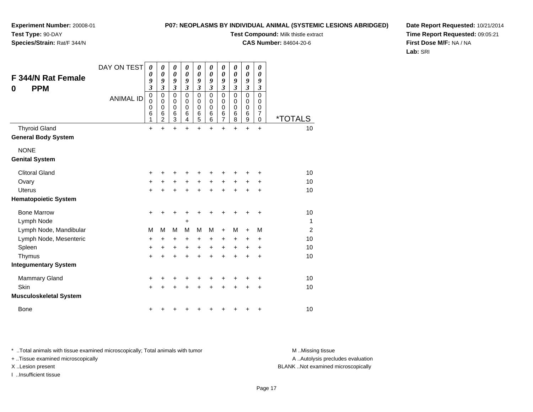# **Experiment Number:** 20008-01**Test Type:** 90-DAY

## **Species/Strain:** Rat/F 344/N

### **P07: NEOPLASMS BY INDIVIDUAL ANIMAL (SYSTEMIC LESIONS ABRIDGED)**

**Test Compound:** Milk thistle extract

**CAS Number:** 84604-20-6

**Date Report Requested:** 10/21/2014**Time Report Requested:** 09:05:21**First Dose M/F:** NA / NA**Lab:** SRI

| F 344/N Rat Female<br><b>PPM</b><br>0 | DAY ON TEST<br><b>ANIMAL ID</b> | $\boldsymbol{\theta}$<br>0<br>9<br>$\overline{\mathbf{3}}$<br>$\mathbf 0$<br>0<br>$\mathbf 0$<br>6<br>1 | 0<br>0<br>9<br>3<br>$\mathbf 0$<br>0<br>$\mathbf 0$<br>6<br>$\overline{2}$ | 0<br>$\boldsymbol{\theta}$<br>9<br>$\overline{\mathbf{3}}$<br>$\mathbf 0$<br>0<br>$\pmb{0}$<br>6<br>3 | 0<br>$\boldsymbol{\theta}$<br>9<br>$\mathfrak{z}$<br>$\mathbf 0$<br>0<br>$\mathbf 0$<br>$\,6$<br>4 | $\boldsymbol{\theta}$<br>0<br>9<br>$\overline{\mathbf{3}}$<br>$\mathbf 0$<br>0<br>0<br>6<br>5 | 0<br>0<br>9<br>$\mathfrak{z}$<br>$\mathbf 0$<br>0<br>$\mathbf 0$<br>6<br>6 | $\boldsymbol{\theta}$<br>$\boldsymbol{\theta}$<br>9<br>$\mathfrak{z}$<br>0<br>0<br>$\boldsymbol{0}$<br>$\,6$<br>$\overline{7}$ | $\boldsymbol{\theta}$<br>0<br>9<br>$\boldsymbol{\beta}$<br>$\mathbf 0$<br>0<br>0<br>$\,6$<br>8 | $\boldsymbol{\theta}$<br>$\boldsymbol{\theta}$<br>9<br>$\mathfrak{z}$<br>$\mathbf 0$<br>0<br>$\mathbf 0$<br>$\,6$<br>$\boldsymbol{9}$ | 0<br>0<br>9<br>$\boldsymbol{\beta}$<br>$\mathbf 0$<br>0<br>0<br>$\overline{7}$<br>0 | <i><b>*TOTALS</b></i> |
|---------------------------------------|---------------------------------|---------------------------------------------------------------------------------------------------------|----------------------------------------------------------------------------|-------------------------------------------------------------------------------------------------------|----------------------------------------------------------------------------------------------------|-----------------------------------------------------------------------------------------------|----------------------------------------------------------------------------|--------------------------------------------------------------------------------------------------------------------------------|------------------------------------------------------------------------------------------------|---------------------------------------------------------------------------------------------------------------------------------------|-------------------------------------------------------------------------------------|-----------------------|
| <b>Thyroid Gland</b>                  |                                 | $\ddot{}$                                                                                               | $\ddot{}$                                                                  | $\ddot{}$                                                                                             | $\ddot{}$                                                                                          | $\ddot{}$                                                                                     | $\ddot{}$                                                                  | $\ddot{}$                                                                                                                      | $\ddot{}$                                                                                      | $\ddot{}$                                                                                                                             | $\ddot{}$                                                                           | 10                    |
| <b>General Body System</b>            |                                 |                                                                                                         |                                                                            |                                                                                                       |                                                                                                    |                                                                                               |                                                                            |                                                                                                                                |                                                                                                |                                                                                                                                       |                                                                                     |                       |
| <b>NONE</b>                           |                                 |                                                                                                         |                                                                            |                                                                                                       |                                                                                                    |                                                                                               |                                                                            |                                                                                                                                |                                                                                                |                                                                                                                                       |                                                                                     |                       |
| <b>Genital System</b>                 |                                 |                                                                                                         |                                                                            |                                                                                                       |                                                                                                    |                                                                                               |                                                                            |                                                                                                                                |                                                                                                |                                                                                                                                       |                                                                                     |                       |
| <b>Clitoral Gland</b>                 |                                 | $\ddot{}$                                                                                               | +                                                                          |                                                                                                       | +                                                                                                  | ٠                                                                                             |                                                                            |                                                                                                                                |                                                                                                |                                                                                                                                       | ٠                                                                                   | 10                    |
| Ovary                                 |                                 | +                                                                                                       | +                                                                          | +                                                                                                     | +                                                                                                  | +                                                                                             | +                                                                          | +                                                                                                                              | +                                                                                              | +                                                                                                                                     | ٠                                                                                   | 10                    |
| <b>Uterus</b>                         |                                 | $\ddot{}$                                                                                               | $\ddot{}$                                                                  | $\ddot{}$                                                                                             | +                                                                                                  | $\ddot{}$                                                                                     | $\ddot{}$                                                                  | $\ddot{}$                                                                                                                      |                                                                                                | $\ddot{}$                                                                                                                             | $\ddot{}$                                                                           | 10                    |
| <b>Hematopoietic System</b>           |                                 |                                                                                                         |                                                                            |                                                                                                       |                                                                                                    |                                                                                               |                                                                            |                                                                                                                                |                                                                                                |                                                                                                                                       |                                                                                     |                       |
| <b>Bone Marrow</b>                    |                                 | $\ddot{}$                                                                                               | +                                                                          | +                                                                                                     | +                                                                                                  | +                                                                                             | +                                                                          | +                                                                                                                              | +                                                                                              | +                                                                                                                                     | +                                                                                   | 10                    |
| Lymph Node                            |                                 |                                                                                                         |                                                                            |                                                                                                       | +                                                                                                  |                                                                                               |                                                                            |                                                                                                                                |                                                                                                |                                                                                                                                       |                                                                                     | $\mathbf 1$           |
| Lymph Node, Mandibular                |                                 | M                                                                                                       | M                                                                          | M                                                                                                     | M                                                                                                  | M                                                                                             | М                                                                          | $\ddot{}$                                                                                                                      | м                                                                                              | $\ddot{}$                                                                                                                             | M                                                                                   | $\overline{2}$        |
| Lymph Node, Mesenteric                |                                 | +                                                                                                       | $\ddot{}$                                                                  | $\ddot{}$                                                                                             | $\ddot{}$                                                                                          | +                                                                                             | $\ddot{}$                                                                  | +                                                                                                                              | $\ddot{}$                                                                                      | +                                                                                                                                     | +                                                                                   | 10                    |
| Spleen                                |                                 | +                                                                                                       | +                                                                          | +                                                                                                     | $\ddot{}$                                                                                          | +                                                                                             | $\ddot{}$                                                                  | $\ddot{}$                                                                                                                      | $\ddot{}$                                                                                      | +                                                                                                                                     | +                                                                                   | 10                    |
| Thymus                                |                                 | +                                                                                                       | +                                                                          | +                                                                                                     | +                                                                                                  | +                                                                                             | $\ddot{}$                                                                  | $\ddot{}$                                                                                                                      | $\div$                                                                                         | +                                                                                                                                     | +                                                                                   | 10                    |
| <b>Integumentary System</b>           |                                 |                                                                                                         |                                                                            |                                                                                                       |                                                                                                    |                                                                                               |                                                                            |                                                                                                                                |                                                                                                |                                                                                                                                       |                                                                                     |                       |
| <b>Mammary Gland</b>                  |                                 | +                                                                                                       | +                                                                          | +                                                                                                     | +                                                                                                  | +                                                                                             |                                                                            |                                                                                                                                |                                                                                                |                                                                                                                                       | +                                                                                   | 10                    |
| Skin                                  |                                 | $\ddot{}$                                                                                               | +                                                                          | $\ddot{}$                                                                                             | +                                                                                                  | +                                                                                             | +                                                                          | $\ddot{}$                                                                                                                      |                                                                                                | +                                                                                                                                     | +                                                                                   | 10                    |
| <b>Musculoskeletal System</b>         |                                 |                                                                                                         |                                                                            |                                                                                                       |                                                                                                    |                                                                                               |                                                                            |                                                                                                                                |                                                                                                |                                                                                                                                       |                                                                                     |                       |
| <b>Bone</b>                           |                                 | +                                                                                                       |                                                                            |                                                                                                       |                                                                                                    |                                                                                               |                                                                            |                                                                                                                                |                                                                                                | +                                                                                                                                     | +                                                                                   | 10                    |

\* ..Total animals with tissue examined microscopically; Total animals with tumor **M** . Missing tissue M ..Missing tissue

+ ..Tissue examined microscopically

I ..Insufficient tissue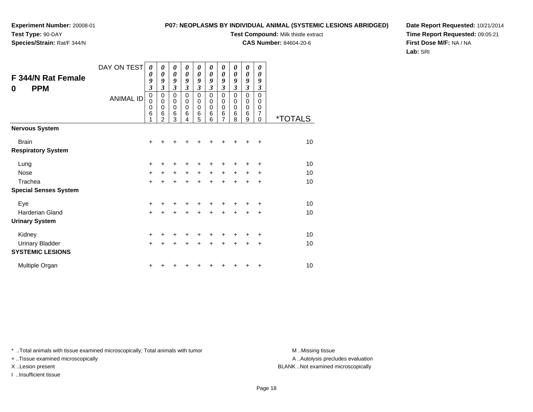### **P07: NEOPLASMS BY INDIVIDUAL ANIMAL (SYSTEMIC LESIONS ABRIDGED)**

**Test Compound:** Milk thistle extract

**CAS Number:** 84604-20-6

**Date Report Requested:** 10/21/2014**Time Report Requested:** 09:05:21**First Dose M/F:** NA / NA**Lab:** SRI

| F 344/N Rat Female<br><b>PPM</b><br>0 | DAY ON TEST<br><b>ANIMAL ID</b> | 0<br>$\boldsymbol{\theta}$<br>9<br>$\boldsymbol{\beta}$<br>$\mathbf 0$<br>$\mathbf 0$<br>$\boldsymbol{0}$<br>6 | 0<br>$\boldsymbol{\theta}$<br>9<br>3<br>$\mathbf 0$<br>$\mathbf 0$<br>0<br>6<br>$\overline{2}$ | 0<br>$\boldsymbol{\theta}$<br>9<br>3<br>0<br>$\boldsymbol{0}$<br>$\boldsymbol{0}$<br>6<br>3 | 0<br>0<br>9<br>3<br>0<br>0<br>0<br>6<br>4 | 0<br>0<br>9<br>3<br>$\mathbf 0$<br>0<br>0<br>6<br>5 | 0<br>0<br>9<br>3<br>0<br>0<br>0<br>6<br>6 | 0<br>$\boldsymbol{\theta}$<br>9<br>$\overline{\mathbf{3}}$<br>$\mathbf 0$<br>$\mathbf 0$<br>$\mathbf 0$<br>$\,6$<br>7 | 0<br>$\boldsymbol{\theta}$<br>9<br>3<br>$\mathbf 0$<br>0<br>$\mathbf 0$<br>6<br>8 | 0<br>$\boldsymbol{\theta}$<br>9<br>$\mathfrak{z}$<br>$\mathbf 0$<br>0<br>$\mathbf 0$<br>6<br>9 | 0<br>0<br>9<br>3<br>$\mathbf 0$<br>0<br>0<br>$\overline{7}$<br>$\Omega$ | <i><b>*TOTALS</b></i> |
|---------------------------------------|---------------------------------|----------------------------------------------------------------------------------------------------------------|------------------------------------------------------------------------------------------------|---------------------------------------------------------------------------------------------|-------------------------------------------|-----------------------------------------------------|-------------------------------------------|-----------------------------------------------------------------------------------------------------------------------|-----------------------------------------------------------------------------------|------------------------------------------------------------------------------------------------|-------------------------------------------------------------------------|-----------------------|
| <b>Nervous System</b>                 |                                 |                                                                                                                |                                                                                                |                                                                                             |                                           |                                                     |                                           |                                                                                                                       |                                                                                   |                                                                                                |                                                                         |                       |
| <b>Brain</b>                          |                                 | $\ddot{}$                                                                                                      |                                                                                                |                                                                                             |                                           |                                                     |                                           |                                                                                                                       |                                                                                   |                                                                                                | ÷                                                                       | 10                    |
| <b>Respiratory System</b>             |                                 |                                                                                                                |                                                                                                |                                                                                             |                                           |                                                     |                                           |                                                                                                                       |                                                                                   |                                                                                                |                                                                         |                       |
| Lung                                  |                                 | +                                                                                                              |                                                                                                | +                                                                                           |                                           |                                                     |                                           |                                                                                                                       |                                                                                   |                                                                                                | ÷                                                                       | 10                    |
| <b>Nose</b>                           |                                 | $\ddot{}$                                                                                                      | $\ddot{}$                                                                                      | $\ddot{}$                                                                                   | $\ddot{}$                                 | +                                                   | $\ddot{}$                                 | $\ddot{}$                                                                                                             | $\ddot{}$                                                                         |                                                                                                | ÷                                                                       | 10                    |
| Trachea                               |                                 | $\ddot{}$                                                                                                      |                                                                                                | +                                                                                           | +                                         | ÷                                                   | ÷                                         | +                                                                                                                     | ÷                                                                                 | +                                                                                              | $\ddot{}$                                                               | 10                    |
| <b>Special Senses System</b>          |                                 |                                                                                                                |                                                                                                |                                                                                             |                                           |                                                     |                                           |                                                                                                                       |                                                                                   |                                                                                                |                                                                         |                       |
| Eye                                   |                                 | +                                                                                                              |                                                                                                |                                                                                             |                                           |                                                     |                                           |                                                                                                                       |                                                                                   |                                                                                                | ÷                                                                       | 10                    |
| Harderian Gland                       |                                 | $\ddot{}$                                                                                                      | $\ddot{}$                                                                                      | $\ddot{}$                                                                                   | $\ddot{}$                                 | $\ddot{}$                                           | $\ddot{}$                                 | $\ddot{}$                                                                                                             | $\ddot{}$                                                                         | $\ddot{}$                                                                                      | $\ddot{}$                                                               | 10                    |
| <b>Urinary System</b>                 |                                 |                                                                                                                |                                                                                                |                                                                                             |                                           |                                                     |                                           |                                                                                                                       |                                                                                   |                                                                                                |                                                                         |                       |
| Kidney                                |                                 | $\ddot{}$                                                                                                      |                                                                                                |                                                                                             |                                           |                                                     |                                           | +                                                                                                                     |                                                                                   |                                                                                                | $\ddot{}$                                                               | 10                    |
| Urinary Bladder                       |                                 | $\ddot{}$                                                                                                      |                                                                                                | +                                                                                           | +                                         | $\ddot{}$                                           | $\ddot{}$                                 | $\ddot{}$                                                                                                             | $\ddot{}$                                                                         | $\pm$                                                                                          | $\ddot{}$                                                               | 10                    |
| <b>SYSTEMIC LESIONS</b>               |                                 |                                                                                                                |                                                                                                |                                                                                             |                                           |                                                     |                                           |                                                                                                                       |                                                                                   |                                                                                                |                                                                         |                       |
| Multiple Organ                        |                                 | +                                                                                                              |                                                                                                |                                                                                             |                                           |                                                     |                                           |                                                                                                                       |                                                                                   |                                                                                                | +                                                                       | 10                    |

\* ..Total animals with tissue examined microscopically; Total animals with tumor **M** . Missing tissue M ..Missing tissue

+ ..Tissue examined microscopically

I ..Insufficient tissue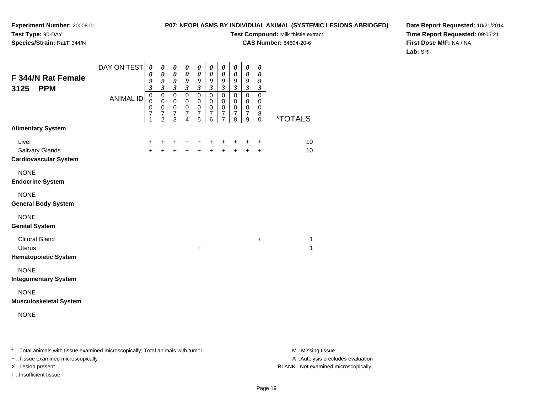### **P07: NEOPLASMS BY INDIVIDUAL ANIMAL (SYSTEMIC LESIONS ABRIDGED)**

**Test Compound:** Milk thistle extract

**CAS Number:** 84604-20-6

**Date Report Requested:** 10/21/2014**Time Report Requested:** 09:05:21**First Dose M/F:** NA / NA**Lab:** SRI

| F 344/N Rat Female<br>3125<br><b>PPM</b>                        | DAY ON TEST      | 0<br>0<br>9<br>$\mathfrak{z}$                   | 0<br>$\boldsymbol{\theta}$<br>9<br>$\mathfrak{z}$              | 0<br>$\pmb{\theta}$<br>9<br>$\overline{\mathbf{3}}$  | 0<br>$\pmb{\theta}$<br>9<br>$\mathfrak{z}$                       | 0<br>$\boldsymbol{\theta}$<br>9<br>$\mathfrak{z}$                | 0<br>$\boldsymbol{\theta}$<br>9<br>$\mathfrak{z}$    | 0<br>$\boldsymbol{\theta}$<br>$\boldsymbol{g}$<br>$\mathfrak{z}$ | $\boldsymbol{\theta}$<br>$\boldsymbol{\theta}$<br>9<br>$\mathfrak{z}$ | 0<br>0<br>9<br>$\mathfrak{z}$                                  | 0<br>$\boldsymbol{\theta}$<br>9<br>$\mathfrak{z}$ |                       |
|-----------------------------------------------------------------|------------------|-------------------------------------------------|----------------------------------------------------------------|------------------------------------------------------|------------------------------------------------------------------|------------------------------------------------------------------|------------------------------------------------------|------------------------------------------------------------------|-----------------------------------------------------------------------|----------------------------------------------------------------|---------------------------------------------------|-----------------------|
|                                                                 | <b>ANIMAL ID</b> | $\pmb{0}$<br>$\mathbf 0$<br>$\pmb{0}$<br>7<br>1 | $\pmb{0}$<br>$\mathbf 0$<br>$\mathbf 0$<br>7<br>$\overline{2}$ | 0<br>$\mathbf 0$<br>$\pmb{0}$<br>$\overline{7}$<br>3 | $\mathbf 0$<br>$\mathbf 0$<br>$\mathbf 0$<br>7<br>$\overline{4}$ | $\mathbf 0$<br>$\mathbf 0$<br>$\mathbf 0$<br>$\overline{7}$<br>5 | $\pmb{0}$<br>0<br>$\mathbf 0$<br>$\overline{7}$<br>6 | $\mathbf 0$<br>$\mathbf 0$<br>$\pmb{0}$<br>$\overline{7}$<br>7   | $\mathbf 0$<br>$\mathbf 0$<br>$\mathbf 0$<br>$\overline{7}$<br>8      | $\mathbf 0$<br>$\mathbf 0$<br>$\pmb{0}$<br>$\overline{7}$<br>9 | $\mathbf 0$<br>0<br>0<br>8<br>0                   | <i><b>*TOTALS</b></i> |
| <b>Alimentary System</b>                                        |                  |                                                 |                                                                |                                                      |                                                                  |                                                                  |                                                      |                                                                  |                                                                       |                                                                |                                                   |                       |
| Liver<br><b>Salivary Glands</b><br><b>Cardiovascular System</b> |                  | +<br>$+$                                        | +<br>$\ddot{}$                                                 | $\ddot{}$<br>$+$                                     | +<br>$+$                                                         | $\pm$                                                            | $+$<br>$+ +$                                         | $\ddot{}$<br>$+$                                                 | $\ddot{}$<br>$+$                                                      | +<br>$\ddot{+}$                                                | +<br>$\ddot{}$                                    | 10<br>10              |
| <b>NONE</b><br><b>Endocrine System</b>                          |                  |                                                 |                                                                |                                                      |                                                                  |                                                                  |                                                      |                                                                  |                                                                       |                                                                |                                                   |                       |
| <b>NONE</b><br><b>General Body System</b>                       |                  |                                                 |                                                                |                                                      |                                                                  |                                                                  |                                                      |                                                                  |                                                                       |                                                                |                                                   |                       |
| <b>NONE</b><br><b>Genital System</b>                            |                  |                                                 |                                                                |                                                      |                                                                  |                                                                  |                                                      |                                                                  |                                                                       |                                                                |                                                   |                       |
| <b>Clitoral Gland</b><br>Uterus<br><b>Hematopoietic System</b>  |                  |                                                 |                                                                |                                                      |                                                                  | +                                                                |                                                      |                                                                  |                                                                       |                                                                | +                                                 | 1<br>1                |
| <b>NONE</b><br><b>Integumentary System</b>                      |                  |                                                 |                                                                |                                                      |                                                                  |                                                                  |                                                      |                                                                  |                                                                       |                                                                |                                                   |                       |
| <b>NONE</b><br><b>Musculoskeletal System</b>                    |                  |                                                 |                                                                |                                                      |                                                                  |                                                                  |                                                      |                                                                  |                                                                       |                                                                |                                                   |                       |
| <b>NONE</b>                                                     |                  |                                                 |                                                                |                                                      |                                                                  |                                                                  |                                                      |                                                                  |                                                                       |                                                                |                                                   |                       |

\* ..Total animals with tissue examined microscopically; Total animals with tumor **M** . Missing tissue M ..Missing tissue

+ ..Tissue examined microscopically

I ..Insufficient tissue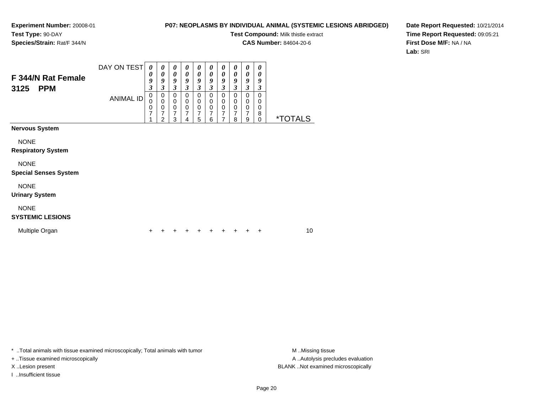### **P07: NEOPLASMS BY INDIVIDUAL ANIMAL (SYSTEMIC LESIONS ABRIDGED)**

**Test Compound:** Milk thistle extract

**CAS Number:** 84604-20-6

**Date Report Requested:** 10/21/2014**Time Report Requested:** 09:05:21**First Dose M/F:** NA / NA**Lab:** SRI

| F 344/N Rat Female<br><b>PPM</b><br>3125    | DAY ON TEST<br><b>ANIMAL ID</b> | $\boldsymbol{\theta}$<br>0<br>9<br>$\boldsymbol{\beta}$<br>$\mathbf 0$<br>0<br>0<br>7 | $\boldsymbol{\theta}$<br>$\boldsymbol{\theta}$<br>9<br>$\boldsymbol{\beta}$<br>0<br>$\pmb{0}$<br>$\mathbf 0$<br>7<br>$\overline{2}$ | 0<br>$\boldsymbol{\theta}$<br>9<br>3<br>$\mathbf 0$<br>$\mathbf 0$<br>$\mathbf 0$<br>7<br>3 | 0<br>$\boldsymbol{\theta}$<br>9<br>$\mathfrak{z}$<br>$\mathbf 0$<br>0<br>$\pmb{0}$<br>$\overline{7}$<br>4 | 0<br>$\boldsymbol{\theta}$<br>9<br>3<br>$\mathbf 0$<br>0<br>$\mathbf 0$<br>7<br>5 | 0<br>0<br>9<br>3<br>$\mathbf 0$<br>0<br>$\mathbf 0$<br>7<br>6 | 0<br>0<br>9<br>3<br>$\Omega$<br>0<br>$\mathbf 0$<br>7<br>$\overline{7}$ | 0<br>$\boldsymbol{\theta}$<br>9<br>$\boldsymbol{\beta}$<br>$\mathbf 0$<br>0<br>$\mathbf 0$<br>7<br>8 | $\boldsymbol{\theta}$<br>$\boldsymbol{\theta}$<br>9<br>$\mathfrak{z}$<br>0<br>0<br>$\mathbf 0$<br>$\overline{7}$<br>9 | 0<br>0<br>9<br>3<br>$\mathbf 0$<br>0<br>$\mathbf 0$<br>8<br>$\mathbf 0$ | <i><b>*TOTALS</b></i> |  |
|---------------------------------------------|---------------------------------|---------------------------------------------------------------------------------------|-------------------------------------------------------------------------------------------------------------------------------------|---------------------------------------------------------------------------------------------|-----------------------------------------------------------------------------------------------------------|-----------------------------------------------------------------------------------|---------------------------------------------------------------|-------------------------------------------------------------------------|------------------------------------------------------------------------------------------------------|-----------------------------------------------------------------------------------------------------------------------|-------------------------------------------------------------------------|-----------------------|--|
| <b>Nervous System</b>                       |                                 |                                                                                       |                                                                                                                                     |                                                                                             |                                                                                                           |                                                                                   |                                                               |                                                                         |                                                                                                      |                                                                                                                       |                                                                         |                       |  |
| <b>NONE</b><br><b>Respiratory System</b>    |                                 |                                                                                       |                                                                                                                                     |                                                                                             |                                                                                                           |                                                                                   |                                                               |                                                                         |                                                                                                      |                                                                                                                       |                                                                         |                       |  |
| <b>NONE</b><br><b>Special Senses System</b> |                                 |                                                                                       |                                                                                                                                     |                                                                                             |                                                                                                           |                                                                                   |                                                               |                                                                         |                                                                                                      |                                                                                                                       |                                                                         |                       |  |
| <b>NONE</b><br><b>Urinary System</b>        |                                 |                                                                                       |                                                                                                                                     |                                                                                             |                                                                                                           |                                                                                   |                                                               |                                                                         |                                                                                                      |                                                                                                                       |                                                                         |                       |  |
| <b>NONE</b><br><b>SYSTEMIC LESIONS</b>      |                                 |                                                                                       |                                                                                                                                     |                                                                                             |                                                                                                           |                                                                                   |                                                               |                                                                         |                                                                                                      |                                                                                                                       |                                                                         |                       |  |
| Multiple Organ                              |                                 | +                                                                                     |                                                                                                                                     |                                                                                             |                                                                                                           |                                                                                   |                                                               |                                                                         |                                                                                                      |                                                                                                                       | $\ddot{}$                                                               | 10                    |  |

\* ..Total animals with tissue examined microscopically; Total animals with tumor **M** . Missing tissue M ..Missing tissue

+ ..Tissue examined microscopically

I ..Insufficient tissue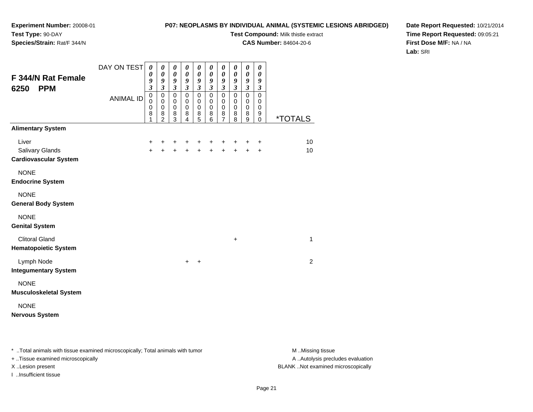### **P07: NEOPLASMS BY INDIVIDUAL ANIMAL (SYSTEMIC LESIONS ABRIDGED)**

**Test Compound:** Milk thistle extract

**CAS Number:** 84604-20-6

**Date Report Requested:** 10/21/2014**Time Report Requested:** 09:05:21**First Dose M/F:** NA / NA**Lab:** SRI

| <b>Alimentary System</b><br>Liver<br>10<br>+<br>$\ddot{}$<br>+<br>+<br>$\ddot{}$<br>+<br>$\ddot{}$<br>+<br>$\ddot{}$<br>+<br>Salivary Glands<br>$\ddot{}$<br>$\ddot{+}$<br>10<br>$\ddot{}$<br>$+$<br>$+$<br>$+$<br>$+$<br>$\ddot{}$<br>$+$<br><b>Cardiovascular System</b><br><b>NONE</b><br><b>Endocrine System</b><br><b>NONE</b> |
|-------------------------------------------------------------------------------------------------------------------------------------------------------------------------------------------------------------------------------------------------------------------------------------------------------------------------------------|
|                                                                                                                                                                                                                                                                                                                                     |
|                                                                                                                                                                                                                                                                                                                                     |
|                                                                                                                                                                                                                                                                                                                                     |
|                                                                                                                                                                                                                                                                                                                                     |
|                                                                                                                                                                                                                                                                                                                                     |
|                                                                                                                                                                                                                                                                                                                                     |
| <b>General Body System</b>                                                                                                                                                                                                                                                                                                          |
|                                                                                                                                                                                                                                                                                                                                     |
| <b>NONE</b>                                                                                                                                                                                                                                                                                                                         |
| <b>Genital System</b>                                                                                                                                                                                                                                                                                                               |
| <b>Clitoral Gland</b><br>1<br>$\ddot{}$                                                                                                                                                                                                                                                                                             |
| <b>Hematopoietic System</b>                                                                                                                                                                                                                                                                                                         |
| Lymph Node<br>$\overline{2}$<br>$\ddot{}$<br>$+$                                                                                                                                                                                                                                                                                    |
| <b>Integumentary System</b>                                                                                                                                                                                                                                                                                                         |
| <b>NONE</b>                                                                                                                                                                                                                                                                                                                         |
| <b>Musculoskeletal System</b>                                                                                                                                                                                                                                                                                                       |
| <b>NONE</b>                                                                                                                                                                                                                                                                                                                         |
| <b>Nervous System</b>                                                                                                                                                                                                                                                                                                               |
|                                                                                                                                                                                                                                                                                                                                     |

\* ..Total animals with tissue examined microscopically; Total animals with tumor **M** . Missing tissue M ..Missing tissue

+ ..Tissue examined microscopically

I ..Insufficient tissue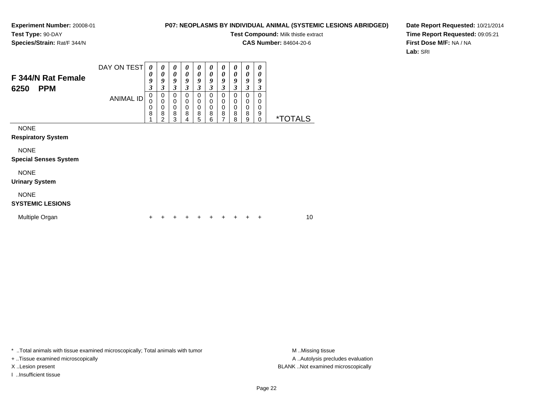### **P07: NEOPLASMS BY INDIVIDUAL ANIMAL (SYSTEMIC LESIONS ABRIDGED)**

**Test Compound:** Milk thistle extract

**CAS Number:** 84604-20-6

**Date Report Requested:** 10/21/2014**Time Report Requested:** 09:05:21**First Dose M/F:** NA / NA**Lab:** SRI

| F 344/N Rat Female<br><b>PPM</b><br>6250    | DAY ON TEST<br><b>ANIMAL ID</b> | 0<br>0<br>9<br>3<br>0<br>0<br>0<br>8 | $\boldsymbol{\theta}$<br>$\boldsymbol{\theta}$<br>9<br>3<br>0<br>$\mathbf 0$<br>$\pmb{0}$<br>8<br>$\overline{2}$ | 0<br>0<br>9<br>3<br>0<br>0<br>0<br>8<br>3 | 0<br>0<br>9<br>3<br>0<br>0<br>$\boldsymbol{0}$<br>8<br>4 | 0<br>0<br>9<br>3<br>0<br>0<br>0<br>8<br>5 | 0<br>0<br>9<br>3<br>0<br>0<br>$\mathbf 0$<br>8<br>6 | 0<br>0<br>9<br>3<br>0<br>0<br>0<br>8<br>7 | 0<br>0<br>9<br>3<br>0<br>0<br>0<br>8<br>8 | $\theta$<br>0<br>9<br>3<br>0<br>0<br>0<br>8<br>9 | 0<br>0<br>9<br>3<br>0<br>0<br>0<br>9<br>$\Omega$ | <i><b>*TOTALS</b></i> |    |  |
|---------------------------------------------|---------------------------------|--------------------------------------|------------------------------------------------------------------------------------------------------------------|-------------------------------------------|----------------------------------------------------------|-------------------------------------------|-----------------------------------------------------|-------------------------------------------|-------------------------------------------|--------------------------------------------------|--------------------------------------------------|-----------------------|----|--|
| <b>NONE</b><br><b>Respiratory System</b>    |                                 |                                      |                                                                                                                  |                                           |                                                          |                                           |                                                     |                                           |                                           |                                                  |                                                  |                       |    |  |
| <b>NONE</b><br><b>Special Senses System</b> |                                 |                                      |                                                                                                                  |                                           |                                                          |                                           |                                                     |                                           |                                           |                                                  |                                                  |                       |    |  |
| <b>NONE</b><br><b>Urinary System</b>        |                                 |                                      |                                                                                                                  |                                           |                                                          |                                           |                                                     |                                           |                                           |                                                  |                                                  |                       |    |  |
| <b>NONE</b><br><b>SYSTEMIC LESIONS</b>      |                                 |                                      |                                                                                                                  |                                           |                                                          |                                           |                                                     |                                           |                                           |                                                  |                                                  |                       |    |  |
| Multiple Organ                              |                                 | ٠                                    |                                                                                                                  |                                           |                                                          |                                           | +                                                   |                                           |                                           | ÷                                                | $\pm$                                            |                       | 10 |  |

\* ..Total animals with tissue examined microscopically; Total animals with tumor **M** . Missing tissue M ..Missing tissue

+ ..Tissue examined microscopically

I ..Insufficient tissue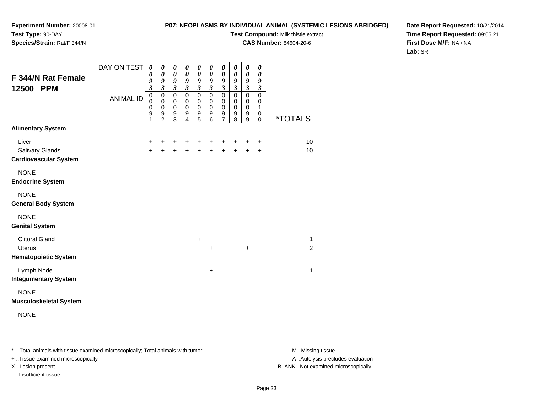### **P07: NEOPLASMS BY INDIVIDUAL ANIMAL (SYSTEMIC LESIONS ABRIDGED)**

**Test Compound:** Milk thistle extract

**CAS Number:** 84604-20-6

**Date Report Requested:** 10/21/2014**Time Report Requested:** 09:05:21**First Dose M/F:** NA / NA**Lab:** SRI

| <b>F 344/N Rat Female</b><br>12500 PPM                                | DAY ON TEST<br><b>ANIMAL ID</b> | $\boldsymbol{\theta}$<br>0<br>9<br>$\overline{\mathbf{3}}$<br>$\mathbf 0$<br>$\mathbf 0$<br>0<br>$\boldsymbol{9}$<br>1 | 0<br>$\boldsymbol{\theta}$<br>9<br>$\mathfrak{Z}$<br>$\mathbf 0$<br>$\mathbf 0$<br>$\mathbf 0$<br>$\boldsymbol{9}$<br>$\overline{2}$ | $\boldsymbol{\theta}$<br>$\boldsymbol{\theta}$<br>9<br>$\boldsymbol{\beta}$<br>$\pmb{0}$<br>0<br>$\mathbf 0$<br>$9\,$<br>3 | 0<br>0<br>9<br>$\boldsymbol{\beta}$<br>$\mathbf 0$<br>$\pmb{0}$<br>$\pmb{0}$<br>$\boldsymbol{9}$<br>4 | 0<br>$\pmb{\theta}$<br>9<br>$\boldsymbol{\mathfrak{z}}$<br>$\pmb{0}$<br>$\pmb{0}$<br>$\mathbf 0$<br>$\boldsymbol{9}$<br>5 | 0<br>$\boldsymbol{\theta}$<br>9<br>$\boldsymbol{\beta}$<br>$\mathbf 0$<br>$\pmb{0}$<br>$\mathbf 0$<br>$\mathsf g$<br>6 | 0<br>$\boldsymbol{\theta}$<br>9<br>$\boldsymbol{\beta}$<br>$\mathbf 0$<br>0<br>$\pmb{0}$<br>9<br>$\overline{7}$ | 0<br>0<br>9<br>$\mathfrak{z}$<br>$\mathbf 0$<br>$\mathbf 0$<br>$\mathbf 0$<br>$\boldsymbol{9}$<br>8 | 0<br>0<br>9<br>$\boldsymbol{\beta}$<br>$\mathbf 0$<br>0<br>$\pmb{0}$<br>9<br>9 | 0<br>0<br>$\boldsymbol{9}$<br>$\mathfrak{z}$<br>$\mathbf 0$<br>0<br>1<br>0<br>0 | <i><b>*TOTALS</b></i>          |
|-----------------------------------------------------------------------|---------------------------------|------------------------------------------------------------------------------------------------------------------------|--------------------------------------------------------------------------------------------------------------------------------------|----------------------------------------------------------------------------------------------------------------------------|-------------------------------------------------------------------------------------------------------|---------------------------------------------------------------------------------------------------------------------------|------------------------------------------------------------------------------------------------------------------------|-----------------------------------------------------------------------------------------------------------------|-----------------------------------------------------------------------------------------------------|--------------------------------------------------------------------------------|---------------------------------------------------------------------------------|--------------------------------|
| <b>Alimentary System</b>                                              |                                 |                                                                                                                        |                                                                                                                                      |                                                                                                                            |                                                                                                       |                                                                                                                           |                                                                                                                        |                                                                                                                 |                                                                                                     |                                                                                |                                                                                 |                                |
| Liver<br>Salivary Glands<br><b>Cardiovascular System</b>              |                                 | +<br>$\ddot{}$                                                                                                         | +<br>$\ddot{}$                                                                                                                       | +<br>$\ddot{}$                                                                                                             | +<br>$\ddot{}$                                                                                        | +<br>$\ddot{}$                                                                                                            | +<br>$\ddot{}$                                                                                                         | +<br>$\ddot{}$                                                                                                  | +                                                                                                   | ٠<br>$\ddot{}$                                                                 | $\ddot{}$<br>$\ddot{}$                                                          | 10<br>10                       |
| <b>NONE</b><br><b>Endocrine System</b>                                |                                 |                                                                                                                        |                                                                                                                                      |                                                                                                                            |                                                                                                       |                                                                                                                           |                                                                                                                        |                                                                                                                 |                                                                                                     |                                                                                |                                                                                 |                                |
| <b>NONE</b><br><b>General Body System</b>                             |                                 |                                                                                                                        |                                                                                                                                      |                                                                                                                            |                                                                                                       |                                                                                                                           |                                                                                                                        |                                                                                                                 |                                                                                                     |                                                                                |                                                                                 |                                |
| <b>NONE</b><br><b>Genital System</b>                                  |                                 |                                                                                                                        |                                                                                                                                      |                                                                                                                            |                                                                                                       |                                                                                                                           |                                                                                                                        |                                                                                                                 |                                                                                                     |                                                                                |                                                                                 |                                |
| <b>Clitoral Gland</b><br><b>Uterus</b><br><b>Hematopoietic System</b> |                                 |                                                                                                                        |                                                                                                                                      |                                                                                                                            |                                                                                                       | $\ddot{}$                                                                                                                 | $\ddot{}$                                                                                                              |                                                                                                                 |                                                                                                     | +                                                                              |                                                                                 | $\mathbf{1}$<br>$\overline{2}$ |
| Lymph Node<br><b>Integumentary System</b>                             |                                 |                                                                                                                        |                                                                                                                                      |                                                                                                                            |                                                                                                       |                                                                                                                           | $\ddot{}$                                                                                                              |                                                                                                                 |                                                                                                     |                                                                                |                                                                                 | 1                              |
| <b>NONE</b><br><b>Musculoskeletal System</b>                          |                                 |                                                                                                                        |                                                                                                                                      |                                                                                                                            |                                                                                                       |                                                                                                                           |                                                                                                                        |                                                                                                                 |                                                                                                     |                                                                                |                                                                                 |                                |
| <b>NONE</b>                                                           |                                 |                                                                                                                        |                                                                                                                                      |                                                                                                                            |                                                                                                       |                                                                                                                           |                                                                                                                        |                                                                                                                 |                                                                                                     |                                                                                |                                                                                 |                                |

\* ..Total animals with tissue examined microscopically; Total animals with tumor **M** . Missing tissue M ..Missing tissue

+ ..Tissue examined microscopically

I ..Insufficient tissue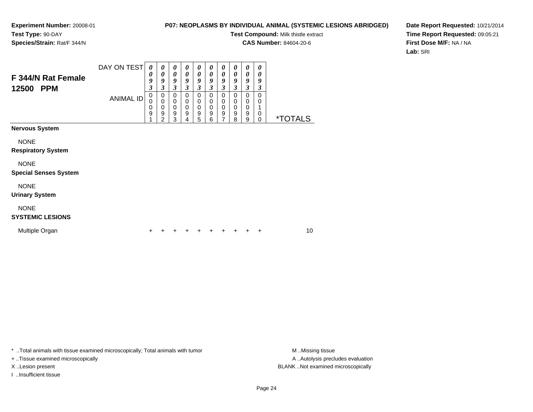### **P07: NEOPLASMS BY INDIVIDUAL ANIMAL (SYSTEMIC LESIONS ABRIDGED)**

**Test Compound:** Milk thistle extract

**CAS Number:** 84604-20-6

**Date Report Requested:** 10/21/2014**Time Report Requested:** 09:05:21**First Dose M/F:** NA / NA**Lab:** SRI

| F 344/N Rat Female<br>12500<br><b>PPM</b>   | DAY ON TEST<br><b>ANIMAL ID</b> | 0<br>0<br>9<br>3<br>$\mathbf 0$<br>0<br>0<br>9 | 0<br>$\boldsymbol{\theta}$<br>9<br>$\boldsymbol{\beta}$<br>0<br>$\mathbf 0$<br>$\mathbf 0$<br>$\boldsymbol{9}$<br>$\overline{2}$ | $\boldsymbol{\theta}$<br>$\boldsymbol{\theta}$<br>9<br>3<br>0<br>0<br>$\mathbf 0$<br>9<br>3 | 0<br>$\boldsymbol{\theta}$<br>9<br>3<br>$\mathbf 0$<br>$\mathbf 0$<br>0<br>9<br>4 | 0<br>0<br>9<br>3<br>0<br>0<br>$\mathbf 0$<br>9<br>5 | 0<br>0<br>9<br>3<br>0<br>0<br>$\mathbf 0$<br>9<br>6 | $\boldsymbol{\theta}$<br>0<br>9<br>3<br>$\Omega$<br>$\mathbf 0$<br>$\Omega$<br>9<br>7 | 0<br>0<br>9<br>3<br>$\mathbf 0$<br>$\mathbf 0$<br>$\mathbf 0$<br>9<br>8 | 0<br>$\boldsymbol{\theta}$<br>9<br>$\boldsymbol{\beta}$<br>$\pmb{0}$<br>$\pmb{0}$<br>$\pmb{0}$<br>$\boldsymbol{9}$<br>9 | $\boldsymbol{\theta}$<br>0<br>9<br>3<br>$\mathbf 0$<br>0<br>$\mathbf 0$<br>$\mathbf 0$ | <i><b>*TOTALS</b></i> |
|---------------------------------------------|---------------------------------|------------------------------------------------|----------------------------------------------------------------------------------------------------------------------------------|---------------------------------------------------------------------------------------------|-----------------------------------------------------------------------------------|-----------------------------------------------------|-----------------------------------------------------|---------------------------------------------------------------------------------------|-------------------------------------------------------------------------|-------------------------------------------------------------------------------------------------------------------------|----------------------------------------------------------------------------------------|-----------------------|
| <b>Nervous System</b><br><b>NONE</b>        |                                 |                                                |                                                                                                                                  |                                                                                             |                                                                                   |                                                     |                                                     |                                                                                       |                                                                         |                                                                                                                         |                                                                                        |                       |
| <b>Respiratory System</b>                   |                                 |                                                |                                                                                                                                  |                                                                                             |                                                                                   |                                                     |                                                     |                                                                                       |                                                                         |                                                                                                                         |                                                                                        |                       |
| <b>NONE</b><br><b>Special Senses System</b> |                                 |                                                |                                                                                                                                  |                                                                                             |                                                                                   |                                                     |                                                     |                                                                                       |                                                                         |                                                                                                                         |                                                                                        |                       |
| <b>NONE</b><br><b>Urinary System</b>        |                                 |                                                |                                                                                                                                  |                                                                                             |                                                                                   |                                                     |                                                     |                                                                                       |                                                                         |                                                                                                                         |                                                                                        |                       |
| <b>NONE</b><br><b>SYSTEMIC LESIONS</b>      |                                 |                                                |                                                                                                                                  |                                                                                             |                                                                                   |                                                     |                                                     |                                                                                       |                                                                         |                                                                                                                         |                                                                                        |                       |
| Multiple Organ                              |                                 | +                                              |                                                                                                                                  |                                                                                             |                                                                                   |                                                     |                                                     |                                                                                       |                                                                         |                                                                                                                         | ÷                                                                                      | 10                    |

\* ..Total animals with tissue examined microscopically; Total animals with tumor **M** . Missing tissue M ..Missing tissue

+ ..Tissue examined microscopically

I ..Insufficient tissue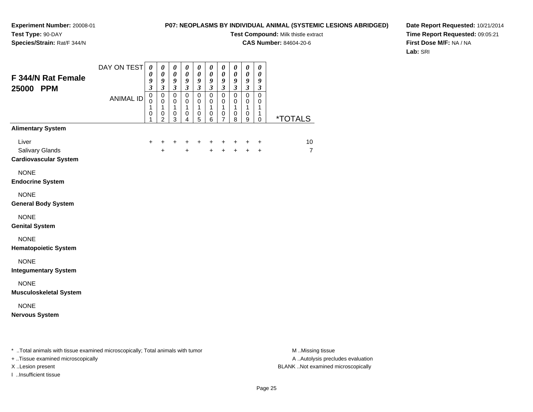### **P07: NEOPLASMS BY INDIVIDUAL ANIMAL (SYSTEMIC LESIONS ABRIDGED)**

**Test Compound:** Milk thistle extract

**CAS Number:** 84604-20-6

**Date Report Requested:** 10/21/2014**Time Report Requested:** 09:05:21**First Dose M/F:** NA / NA**Lab:** SRI

| F 344/N Rat Female<br>25000 PPM                          | DAY ON TEST<br><b>ANIMAL ID</b> | $\boldsymbol{\theta}$<br>0<br>9<br>$\boldsymbol{\mathfrak{z}}$<br>$\pmb{0}$<br>0<br>1<br>0<br>1 | $\boldsymbol{\theta}$<br>$\boldsymbol{\theta}$<br>$\boldsymbol{g}$<br>$\mathfrak{z}$<br>$\pmb{0}$<br>$\mathbf 0$<br>$\mathbf{1}$<br>$\pmb{0}$<br>$\overline{c}$ | 0<br>$\pmb{\theta}$<br>9<br>$\overline{\mathbf{3}}$<br>$\mathbf 0$<br>$\pmb{0}$<br>$\mathbf{1}$<br>$\,0\,$<br>3 | $\boldsymbol{\theta}$<br>$\pmb{\theta}$<br>$\boldsymbol{g}$<br>$\boldsymbol{\beta}$<br>$\mathsf 0$<br>$\mathbf 0$<br>$\mathbf{1}$<br>0<br>4 | 0<br>$\boldsymbol{\theta}$<br>9<br>$\boldsymbol{\beta}$<br>$\overline{0}$<br>$\pmb{0}$<br>$\mathbf{1}$<br>$\,0\,$<br>5 | $\boldsymbol{\theta}$<br>$\boldsymbol{\theta}$<br>$\boldsymbol{g}$<br>$\boldsymbol{\beta}$<br>$\mathsf 0$<br>0<br>$\mathbf{1}$<br>0<br>6 | 0<br>0<br>9<br>$\mathfrak{z}$<br>$\mathsf 0$<br>0<br>$\mathbf{1}$<br>0<br>$\overline{7}$ | $\boldsymbol{\theta}$<br>$\boldsymbol{\theta}$<br>$\boldsymbol{g}$<br>$\mathfrak{z}$<br>$\mathbf 0$<br>$\,0\,$<br>$\mathbf{1}$<br>$\pmb{0}$<br>8 | 0<br>$\boldsymbol{\theta}$<br>$\pmb{9}$<br>$\mathfrak{z}$<br>$\mathsf 0$<br>$\mathbf 0$<br>$\mathbf{1}$<br>$\pmb{0}$<br>9 | $\boldsymbol{\theta}$<br>$\boldsymbol{\theta}$<br>9<br>$\boldsymbol{\beta}$<br>$\mathbf 0$<br>$\,0\,$<br>$\mathbf{1}$<br>$\mathbf{1}$<br>0 | <u>*TOTALS</u>       |
|----------------------------------------------------------|---------------------------------|-------------------------------------------------------------------------------------------------|-----------------------------------------------------------------------------------------------------------------------------------------------------------------|-----------------------------------------------------------------------------------------------------------------|---------------------------------------------------------------------------------------------------------------------------------------------|------------------------------------------------------------------------------------------------------------------------|------------------------------------------------------------------------------------------------------------------------------------------|------------------------------------------------------------------------------------------|--------------------------------------------------------------------------------------------------------------------------------------------------|---------------------------------------------------------------------------------------------------------------------------|--------------------------------------------------------------------------------------------------------------------------------------------|----------------------|
| <b>Alimentary System</b>                                 |                                 |                                                                                                 |                                                                                                                                                                 |                                                                                                                 |                                                                                                                                             |                                                                                                                        |                                                                                                                                          |                                                                                          |                                                                                                                                                  |                                                                                                                           |                                                                                                                                            |                      |
| Liver<br>Salivary Glands<br><b>Cardiovascular System</b> |                                 | $\ddot{}$                                                                                       | +<br>$\ddot{}$                                                                                                                                                  | $\ddot{}$                                                                                                       | +<br>$+$                                                                                                                                    | $\ddot{}$                                                                                                              | +<br>$\ddot{}$                                                                                                                           | +<br>$+$                                                                                 | +<br>$+$                                                                                                                                         | +<br>$\ddot{+}$                                                                                                           | $\ddot{}$<br>$+$                                                                                                                           | 10<br>$\overline{7}$ |
| <b>NONE</b><br><b>Endocrine System</b>                   |                                 |                                                                                                 |                                                                                                                                                                 |                                                                                                                 |                                                                                                                                             |                                                                                                                        |                                                                                                                                          |                                                                                          |                                                                                                                                                  |                                                                                                                           |                                                                                                                                            |                      |
| <b>NONE</b><br><b>General Body System</b>                |                                 |                                                                                                 |                                                                                                                                                                 |                                                                                                                 |                                                                                                                                             |                                                                                                                        |                                                                                                                                          |                                                                                          |                                                                                                                                                  |                                                                                                                           |                                                                                                                                            |                      |
| <b>NONE</b><br><b>Genital System</b>                     |                                 |                                                                                                 |                                                                                                                                                                 |                                                                                                                 |                                                                                                                                             |                                                                                                                        |                                                                                                                                          |                                                                                          |                                                                                                                                                  |                                                                                                                           |                                                                                                                                            |                      |
| <b>NONE</b><br><b>Hematopoietic System</b>               |                                 |                                                                                                 |                                                                                                                                                                 |                                                                                                                 |                                                                                                                                             |                                                                                                                        |                                                                                                                                          |                                                                                          |                                                                                                                                                  |                                                                                                                           |                                                                                                                                            |                      |
| <b>NONE</b><br><b>Integumentary System</b>               |                                 |                                                                                                 |                                                                                                                                                                 |                                                                                                                 |                                                                                                                                             |                                                                                                                        |                                                                                                                                          |                                                                                          |                                                                                                                                                  |                                                                                                                           |                                                                                                                                            |                      |
| <b>NONE</b><br><b>Musculoskeletal System</b>             |                                 |                                                                                                 |                                                                                                                                                                 |                                                                                                                 |                                                                                                                                             |                                                                                                                        |                                                                                                                                          |                                                                                          |                                                                                                                                                  |                                                                                                                           |                                                                                                                                            |                      |
| <b>NONE</b><br><b>Nervous System</b>                     |                                 |                                                                                                 |                                                                                                                                                                 |                                                                                                                 |                                                                                                                                             |                                                                                                                        |                                                                                                                                          |                                                                                          |                                                                                                                                                  |                                                                                                                           |                                                                                                                                            |                      |

\* ..Total animals with tissue examined microscopically; Total animals with tumor **M** . Missing tissue M ..Missing tissue

+ ..Tissue examined microscopically

I ..Insufficient tissue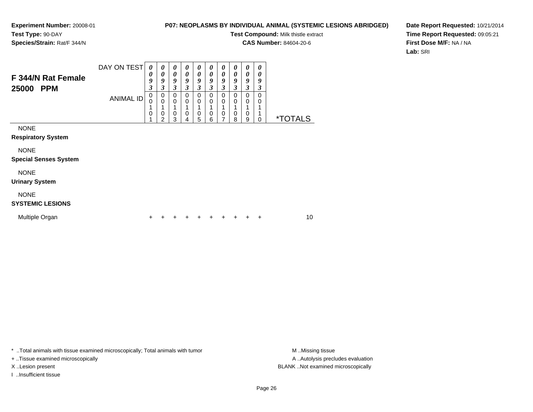### **P07: NEOPLASMS BY INDIVIDUAL ANIMAL (SYSTEMIC LESIONS ABRIDGED)**

**Test Compound:** Milk thistle extract

**CAS Number:** 84604-20-6

**Date Report Requested:** 10/21/2014**Time Report Requested:** 09:05:21**First Dose M/F:** NA / NA**Lab:** SRI

| F 344/N Rat Female<br>25000<br><b>PPM</b>   | DAY ON TEST<br><b>ANIMAL ID</b> | 0<br>0<br>9<br>3<br>0<br>$\Omega$<br>0 | 0<br>$\boldsymbol{\theta}$<br>9<br>$\boldsymbol{\beta}$<br>0<br>$\mathbf 0$<br>0<br>2 | 0<br>0<br>9<br>3<br>0<br>0<br>0<br>3 | 0<br>$\boldsymbol{\theta}$<br>9<br>3<br>0<br>0<br>$\mathbf 0$<br>4 | 0<br>0<br>9<br>3<br>0<br>$\mathbf 0$<br>$\mathbf 0$<br>5 | 0<br>0<br>9<br>$\boldsymbol{\beta}$<br>0<br>0<br>$\mathbf 0$<br>6 | 0<br>0<br>9<br>3<br>$\mathbf 0$<br>0<br>0<br>7 | 0<br>0<br>9<br>$\boldsymbol{\beta}$<br>$\Omega$<br>0<br>0<br>8 | 0<br>0<br>9<br>3<br>0<br>0<br>0<br>9 | 0<br>0<br>9<br>3<br>0<br>0<br>1<br>0 | <i><b>*TOTALS</b></i> |    |
|---------------------------------------------|---------------------------------|----------------------------------------|---------------------------------------------------------------------------------------|--------------------------------------|--------------------------------------------------------------------|----------------------------------------------------------|-------------------------------------------------------------------|------------------------------------------------|----------------------------------------------------------------|--------------------------------------|--------------------------------------|-----------------------|----|
| <b>NONE</b><br><b>Respiratory System</b>    |                                 |                                        |                                                                                       |                                      |                                                                    |                                                          |                                                                   |                                                |                                                                |                                      |                                      |                       |    |
| <b>NONE</b><br><b>Special Senses System</b> |                                 |                                        |                                                                                       |                                      |                                                                    |                                                          |                                                                   |                                                |                                                                |                                      |                                      |                       |    |
| <b>NONE</b><br><b>Urinary System</b>        |                                 |                                        |                                                                                       |                                      |                                                                    |                                                          |                                                                   |                                                |                                                                |                                      |                                      |                       |    |
| <b>NONE</b><br><b>SYSTEMIC LESIONS</b>      |                                 |                                        |                                                                                       |                                      |                                                                    |                                                          |                                                                   |                                                |                                                                |                                      |                                      |                       |    |
| Multiple Organ                              |                                 | ÷                                      |                                                                                       |                                      |                                                                    |                                                          |                                                                   |                                                | +                                                              | +                                    | ÷                                    |                       | 10 |

\* ..Total animals with tissue examined microscopically; Total animals with tumor **M** . Missing tissue M ..Missing tissue

+ ..Tissue examined microscopically

I ..Insufficient tissue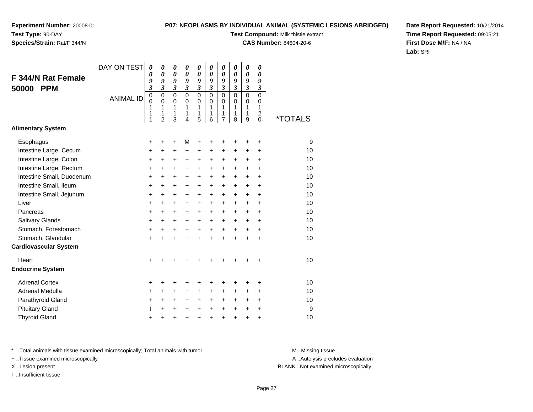### **P07: NEOPLASMS BY INDIVIDUAL ANIMAL (SYSTEMIC LESIONS ABRIDGED)**

**Test Compound:** Milk thistle extract

**CAS Number:** 84604-20-6

**Date Report Requested:** 10/21/2014**Time Report Requested:** 09:05:21**First Dose M/F:** NA / NA**Lab:** SRI

|                              | DAY ON TEST      | 0                | 0                          | 0              | 0              | 0           | 0              | 0                       | 0                          | 0                       | 0                                   |                       |
|------------------------------|------------------|------------------|----------------------------|----------------|----------------|-------------|----------------|-------------------------|----------------------------|-------------------------|-------------------------------------|-----------------------|
| <b>F 344/N Rat Female</b>    |                  | 0<br>9           | $\boldsymbol{\theta}$<br>9 | 0<br>9         | 0<br>9         | 0<br>9      | 0<br>9         | 0<br>9                  | $\boldsymbol{\theta}$<br>9 | 0<br>9                  | $\boldsymbol{\theta}$<br>9          |                       |
| <b>PPM</b><br>50000          |                  | 3                | $\mathfrak{z}$             | $\mathfrak{z}$ | $\mathfrak{z}$ | 3           | $\mathfrak{z}$ | $\overline{\mathbf{3}}$ | $\overline{\mathbf{3}}$    | $\overline{\mathbf{3}}$ | $\boldsymbol{\beta}$                |                       |
|                              | <b>ANIMAL ID</b> | $\boldsymbol{0}$ | $\mathbf 0$                | $\mathbf 0$    | $\Omega$       | $\mathbf 0$ | $\mathbf 0$    | $\mathsf 0$             | $\mathbf 0$                | $\overline{0}$          | $\mathbf 0$                         |                       |
|                              |                  | $\mathbf 0$<br>1 | $\mathbf 0$<br>1           | 0<br>1         | $\Omega$<br>1  | 0<br>1      | $\Omega$<br>1  | $\mathbf 0$<br>1        | $\Omega$<br>1              | 0<br>1                  | 0<br>1                              |                       |
|                              |                  | 1<br>1           | 1<br>$\overline{2}$        | 1<br>3         | 1<br>4         | 1<br>5      | 1<br>6         | 1<br>$\overline{7}$     | 1<br>8                     | 1<br>9                  | $\overline{\mathbf{c}}$<br>$\Omega$ | <i><b>*TOTALS</b></i> |
| <b>Alimentary System</b>     |                  |                  |                            |                |                |             |                |                         |                            |                         |                                     |                       |
| Esophagus                    |                  | +                | +                          | ٠              | М              | +           | +              | +                       |                            | +                       | +                                   | 9                     |
| Intestine Large, Cecum       |                  | +                | +                          | +              | +              | +           | +              | +                       | +                          | +                       | +                                   | 10                    |
| Intestine Large, Colon       |                  | +                | +                          | +              | +              | +           | $\ddot{}$      | $\pm$                   | +                          | +                       | $\ddot{}$                           | 10                    |
| Intestine Large, Rectum      |                  | +                | $\ddot{}$                  | +              | +              | +           | $\pm$          | $\ddot{}$               | $\ddot{}$                  | +                       | +                                   | 10                    |
| Intestine Small, Duodenum    |                  | $\ddot{}$        | $\ddot{}$                  | $\ddot{}$      | $\ddot{}$      | +           | $\ddot{}$      | $\ddot{}$               | $\ddot{}$                  | $\ddot{}$               | $\ddot{}$                           | 10                    |
| Intestine Small, Ileum       |                  | +                | $\ddot{}$                  | $\ddot{}$      | +              | +           | $\ddot{}$      | $\ddot{}$               | $\ddot{}$                  | +                       | $\ddot{}$                           | 10                    |
| Intestine Small, Jejunum     |                  | +                | $\ddot{}$                  | $\ddot{}$      | $\ddot{}$      | $\ddot{}$   | $\ddot{}$      | $+$                     | $\ddot{}$                  | $\ddot{}$               | $\ddot{}$                           | 10                    |
| Liver                        |                  | $\ddot{}$        | $\ddot{}$                  | $\ddot{}$      | $\ddot{}$      | $\ddot{}$   | $+$            | $\ddot{}$               | $\ddot{}$                  | $\ddot{}$               | $\ddot{}$                           | 10                    |
| Pancreas                     |                  | $\ddot{}$        | $\ddot{}$                  | $\ddot{}$      | +              | $\ddot{}$   | $\ddot{}$      | $\pm$                   | $\ddot{}$                  | $\ddot{}$               | +                                   | 10                    |
| <b>Salivary Glands</b>       |                  | +                | +                          | +              | +              | $\ddot{}$   | +              | $\ddot{}$               | $\ddot{}$                  | +                       | $\ddot{}$                           | 10                    |
| Stomach, Forestomach         |                  | +                | $\ddot{}$                  | $\ddot{}$      | $\ddot{}$      | $\ddot{}$   | $\ddot{}$      | $\ddot{}$               | $\ddot{}$                  | $+$                     | $\ddot{}$                           | 10                    |
| Stomach, Glandular           |                  | +                | $\ddot{}$                  | $\ddot{}$      | $\ddot{}$      | $\ddot{}$   | $\ddot{}$      | $\ddot{}$               | $\ddot{}$                  | $\ddot{}$               | $\ddot{}$                           | 10                    |
| <b>Cardiovascular System</b> |                  |                  |                            |                |                |             |                |                         |                            |                         |                                     |                       |
| Heart                        |                  | $\ddot{}$        |                            |                |                |             |                |                         |                            |                         |                                     | 10                    |
| <b>Endocrine System</b>      |                  |                  |                            |                |                |             |                |                         |                            |                         |                                     |                       |
| <b>Adrenal Cortex</b>        |                  | +                | +                          | +              | +              | +           | +              | +                       | +                          | +                       | +                                   | 10                    |
| Adrenal Medulla              |                  | $\ddot{}$        | $\pm$                      | ٠              | +              | $\pm$       | $\pm$          | $\pm$                   | +                          | +                       | +                                   | 10                    |
| Parathyroid Gland            |                  | +                | $\ddot{}$                  | +              | $\ddot{}$      | $\ddot{}$   | $\ddot{}$      | $\ddot{}$               | +                          | +                       | $\ddot{}$                           | 10                    |
| <b>Pituitary Gland</b>       |                  | L                | +                          | +              | +              | $\pm$       | $\ddot{}$      | $+$                     | $\ddot{}$                  | $\ddot{}$               | +                                   | 9                     |
| <b>Thyroid Gland</b>         |                  | +                | +                          | +              | +              | $\ddot{}$   | $\ddot{}$      | +                       | $\ddot{}$                  | $\ddot{}$               | +                                   | 10                    |

\* ..Total animals with tissue examined microscopically; Total animals with tumor **M** . Missing tissue M ..Missing tissue

+ ..Tissue examined microscopically

I ..Insufficient tissue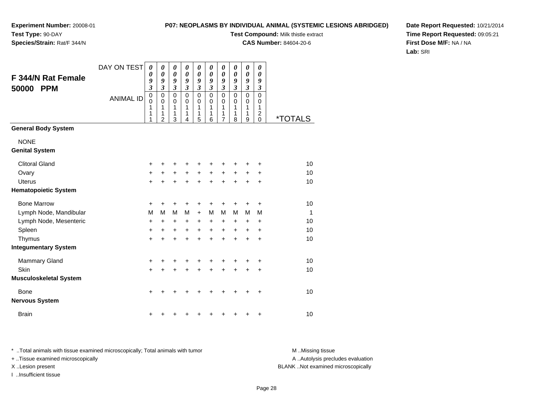### **P07: NEOPLASMS BY INDIVIDUAL ANIMAL (SYSTEMIC LESIONS ABRIDGED)**

**Test Compound:** Milk thistle extract

**CAS Number:** 84604-20-6

**Date Report Requested:** 10/21/2014**Time Report Requested:** 09:05:21**First Dose M/F:** NA / NA**Lab:** SRI

| <b>F 344/N Rat Female</b><br><b>PPM</b><br>50000 | DAY ON TEST<br><b>ANIMAL ID</b> | 0<br>0<br>9<br>$\overline{\mathbf{3}}$<br>0<br>$\mathbf 0$<br>1<br>1<br>1 | 0<br>$\boldsymbol{\theta}$<br>9<br>$\overline{\mathbf{3}}$<br>$\mathbf 0$<br>0<br>1<br>1<br>$\overline{2}$ | 0<br>$\boldsymbol{\theta}$<br>9<br>$\mathfrak{z}$<br>$\mathbf 0$<br>0<br>1<br>1<br>3 | 0<br>$\boldsymbol{\theta}$<br>9<br>$\mathfrak{z}$<br>$\mathbf 0$<br>0<br>1<br>1<br>4 | 0<br>$\boldsymbol{\theta}$<br>9<br>$\mathfrak{z}$<br>$\mathbf 0$<br>$\mathbf 0$<br>1<br>1<br>5 | 0<br>0<br>9<br>$\mathfrak{z}$<br>$\mathbf 0$<br>0<br>1<br>1<br>6 | 0<br>0<br>9<br>$\boldsymbol{\beta}$<br>$\mathbf 0$<br>0<br>1<br>1<br>$\overline{7}$ | 0<br>$\boldsymbol{\theta}$<br>9<br>$\boldsymbol{\beta}$<br>$\mathbf 0$<br>0<br>1<br>1<br>8 | $\boldsymbol{\theta}$<br>$\boldsymbol{\theta}$<br>9<br>$\boldsymbol{\beta}$<br>$\mathbf 0$<br>0<br>1<br>1<br>9 | 0<br>0<br>9<br>$\boldsymbol{\mathfrak{z}}$<br>$\mathbf 0$<br>0<br>1<br>$\overline{c}$<br>0 | *TOTALS      |
|--------------------------------------------------|---------------------------------|---------------------------------------------------------------------------|------------------------------------------------------------------------------------------------------------|--------------------------------------------------------------------------------------|--------------------------------------------------------------------------------------|------------------------------------------------------------------------------------------------|------------------------------------------------------------------|-------------------------------------------------------------------------------------|--------------------------------------------------------------------------------------------|----------------------------------------------------------------------------------------------------------------|--------------------------------------------------------------------------------------------|--------------|
| <b>General Body System</b>                       |                                 |                                                                           |                                                                                                            |                                                                                      |                                                                                      |                                                                                                |                                                                  |                                                                                     |                                                                                            |                                                                                                                |                                                                                            |              |
| <b>NONE</b><br><b>Genital System</b>             |                                 |                                                                           |                                                                                                            |                                                                                      |                                                                                      |                                                                                                |                                                                  |                                                                                     |                                                                                            |                                                                                                                |                                                                                            |              |
| <b>Clitoral Gland</b>                            |                                 | +                                                                         | +                                                                                                          | +                                                                                    |                                                                                      | +                                                                                              | ٠                                                                | +                                                                                   |                                                                                            | +                                                                                                              | ٠                                                                                          | 10           |
| Ovary                                            |                                 | +                                                                         | $\ddot{}$                                                                                                  | $\ddot{}$                                                                            | $+$                                                                                  | $\ddot{}$                                                                                      | $+$                                                              | $\ddot{}$                                                                           | $+$                                                                                        | $\ddot{}$                                                                                                      | $\ddot{}$                                                                                  | 10           |
| <b>Uterus</b>                                    |                                 | $\ddot{}$                                                                 | +                                                                                                          | +                                                                                    |                                                                                      | +                                                                                              | $\ddot{}$                                                        | $\ddot{}$                                                                           | $\ddot{}$                                                                                  | $\ddot{}$                                                                                                      | $\ddot{}$                                                                                  | 10           |
| <b>Hematopoietic System</b>                      |                                 |                                                                           |                                                                                                            |                                                                                      |                                                                                      |                                                                                                |                                                                  |                                                                                     |                                                                                            |                                                                                                                |                                                                                            |              |
| <b>Bone Marrow</b>                               |                                 | +                                                                         | +                                                                                                          | +                                                                                    | +                                                                                    | +                                                                                              | +                                                                | +                                                                                   | +                                                                                          | +                                                                                                              | +                                                                                          | 10           |
| Lymph Node, Mandibular                           |                                 | M                                                                         | M                                                                                                          | M                                                                                    | M                                                                                    | $\ddot{}$                                                                                      | M                                                                | M                                                                                   | M                                                                                          | M                                                                                                              | M                                                                                          | $\mathbf{1}$ |
| Lymph Node, Mesenteric                           |                                 | +                                                                         | $\ddot{}$                                                                                                  | $\ddot{}$                                                                            | $\ddot{}$                                                                            | $\ddot{}$                                                                                      | $\ddot{}$                                                        | $\ddot{}$                                                                           | $\ddot{}$                                                                                  | $\ddot{}$                                                                                                      | $\ddot{}$                                                                                  | 10           |
| Spleen                                           |                                 | $\ddot{}$                                                                 | $\ddot{}$                                                                                                  | $\ddot{}$                                                                            | $\ddot{}$                                                                            | $\ddot{}$                                                                                      | $\ddot{}$                                                        | $\ddot{}$                                                                           | $\ddot{}$                                                                                  | $\ddot{}$                                                                                                      | $\ddot{}$                                                                                  | 10           |
| Thymus                                           |                                 | $\ddot{}$                                                                 | $\ddot{}$                                                                                                  | $\ddot{}$                                                                            | $\ddot{}$                                                                            | $\ddot{}$                                                                                      | $\ddot{}$                                                        | $\ddot{}$                                                                           | $\ddot{}$                                                                                  | $\ddot{}$                                                                                                      | $\ddot{}$                                                                                  | 10           |
| <b>Integumentary System</b>                      |                                 |                                                                           |                                                                                                            |                                                                                      |                                                                                      |                                                                                                |                                                                  |                                                                                     |                                                                                            |                                                                                                                |                                                                                            |              |
| <b>Mammary Gland</b>                             |                                 | +                                                                         | +                                                                                                          | +                                                                                    | +                                                                                    | +                                                                                              | +                                                                | +                                                                                   | +                                                                                          | +                                                                                                              | +                                                                                          | 10           |
| Skin                                             |                                 | $\ddot{}$                                                                 | $\ddot{}$                                                                                                  | $\ddot{}$                                                                            | $\ddot{}$                                                                            | $\ddot{}$                                                                                      | $\ddot{}$                                                        | $\ddot{}$                                                                           | $\ddot{}$                                                                                  | $\ddot{}$                                                                                                      | $\ddot{}$                                                                                  | 10           |
| <b>Musculoskeletal System</b>                    |                                 |                                                                           |                                                                                                            |                                                                                      |                                                                                      |                                                                                                |                                                                  |                                                                                     |                                                                                            |                                                                                                                |                                                                                            |              |
| Bone                                             |                                 | +                                                                         | +                                                                                                          | +                                                                                    |                                                                                      |                                                                                                |                                                                  | +                                                                                   | +                                                                                          |                                                                                                                | $\ddot{}$                                                                                  | 10           |
| <b>Nervous System</b>                            |                                 |                                                                           |                                                                                                            |                                                                                      |                                                                                      |                                                                                                |                                                                  |                                                                                     |                                                                                            |                                                                                                                |                                                                                            |              |
| <b>Brain</b>                                     |                                 | +                                                                         |                                                                                                            |                                                                                      |                                                                                      |                                                                                                | +                                                                | +                                                                                   | +                                                                                          | +                                                                                                              | $\ddot{}$                                                                                  | 10           |

\* ..Total animals with tissue examined microscopically; Total animals with tumor **M** . Missing tissue M ..Missing tissue A ..Autolysis precludes evaluation + ..Tissue examined microscopically X ..Lesion present BLANK ..Not examined microscopicallyI ..Insufficient tissue